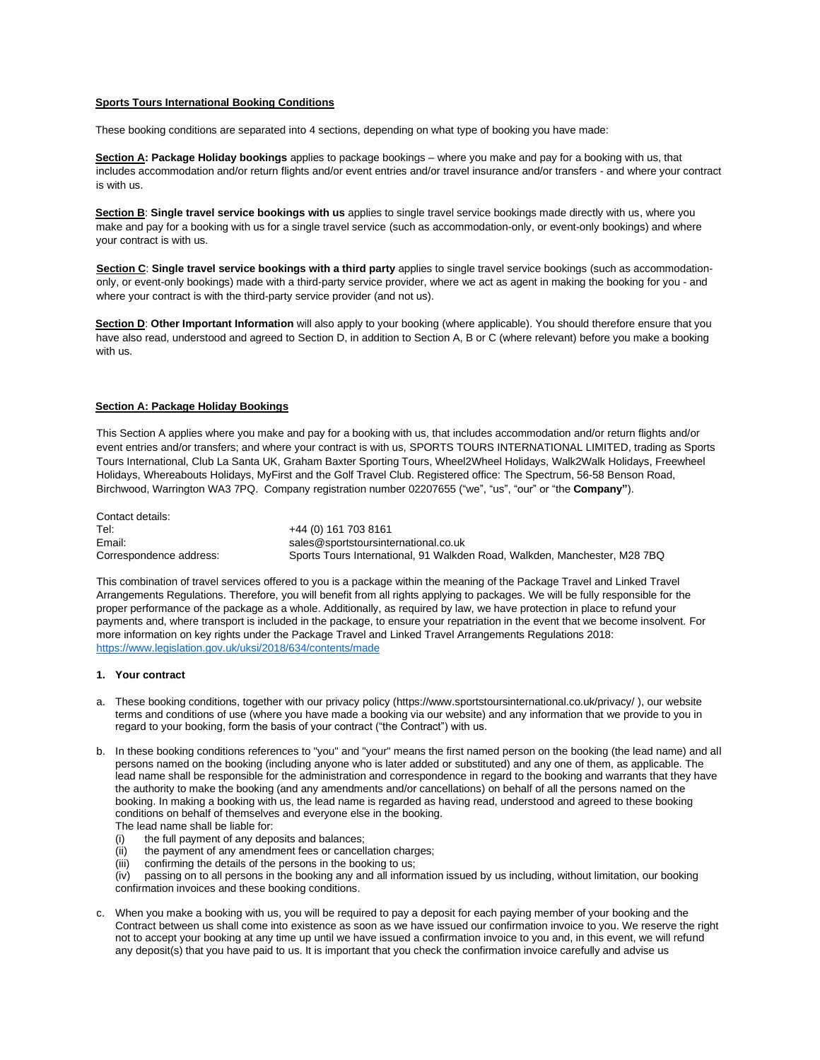# **Sports Tours International Booking Conditions**

These booking conditions are separated into 4 sections, depending on what type of booking you have made:

**Section A: Package Holiday bookings** applies to package bookings – where you make and pay for a booking with us, that includes accommodation and/or return flights and/or event entries and/or travel insurance and/or transfers - and where your contract is with us.

**Section B**: **Single travel service bookings with us** applies to single travel service bookings made directly with us, where you make and pay for a booking with us for a single travel service (such as accommodation-only, or event-only bookings) and where your contract is with us.

**Section C**: **Single travel service bookings with a third party** applies to single travel service bookings (such as accommodationonly, or event-only bookings) made with a third-party service provider, where we act as agent in making the booking for you - and where your contract is with the third-party service provider (and not us).

**Section D**: **Other Important Information** will also apply to your booking (where applicable). You should therefore ensure that you have also read, understood and agreed to Section D, in addition to Section A, B or C (where relevant) before you make a booking with us.

### **Section A: Package Holiday Bookings**

This Section A applies where you make and pay for a booking with us, that includes accommodation and/or return flights and/or event entries and/or transfers; and where your contract is with us, SPORTS TOURS INTERNATIONAL LIMITED, trading as Sports Tours International, Club La Santa UK, Graham Baxter Sporting Tours, Wheel2Wheel Holidays, Walk2Walk Holidays, Freewheel Holidays, Whereabouts Holidays, MyFirst and the Golf Travel Club. Registered office: The Spectrum, 56-58 Benson Road, Birchwood, Warrington WA3 7PQ. Company registration number 02207655 ("we", "us", "our" or "the **Company"**).

Contact details: Tel: +44 (0) 161 703 8161 Email: sales@sportstoursinternational.co.uk Correspondence address: Sports Tours International, 91 Walkden Road, Walkden, Manchester, M28 7BQ

This combination of travel services offered to you is a package within the meaning of the Package Travel and Linked Travel Arrangements Regulations. Therefore, you will benefit from all rights applying to packages. We will be fully responsible for the proper performance of the package as a whole. Additionally, as required by law, we have protection in place to refund your payments and, where transport is included in the package, to ensure your repatriation in the event that we become insolvent. For more information on key rights under the Package Travel and Linked Travel Arrangements Regulations 2018: <https://www.legislation.gov.uk/uksi/2018/634/contents/made>

#### **1. Your contract**

- a. These booking conditions, together with our privacy policy (https://www.sportstoursinternational.co.uk/privacy/ ), our website terms and conditions of use (where you have made a booking via our website) and any information that we provide to you in regard to your booking, form the basis of your contract ("the Contract") with us.
- b. In these booking conditions references to "you" and "your" means the first named person on the booking (the lead name) and all persons named on the booking (including anyone who is later added or substituted) and any one of them, as applicable. The lead name shall be responsible for the administration and correspondence in regard to the booking and warrants that they have the authority to make the booking (and any amendments and/or cancellations) on behalf of all the persons named on the booking. In making a booking with us, the lead name is regarded as having read, understood and agreed to these booking conditions on behalf of themselves and everyone else in the booking.
	- The lead name shall be liable for:
	- (i) the full payment of any deposits and balances;
	- (ii) the payment of any amendment fees or cancellation charges;
	- (iii) confirming the details of the persons in the booking to us;
	- (iv) passing on to all persons in the booking any and all information issued by us including, without limitation, our booking confirmation invoices and these booking conditions.
- c. When you make a booking with us, you will be required to pay a deposit for each paying member of your booking and the Contract between us shall come into existence as soon as we have issued our confirmation invoice to you. We reserve the right not to accept your booking at any time up until we have issued a confirmation invoice to you and, in this event, we will refund any deposit(s) that you have paid to us. It is important that you check the confirmation invoice carefully and advise us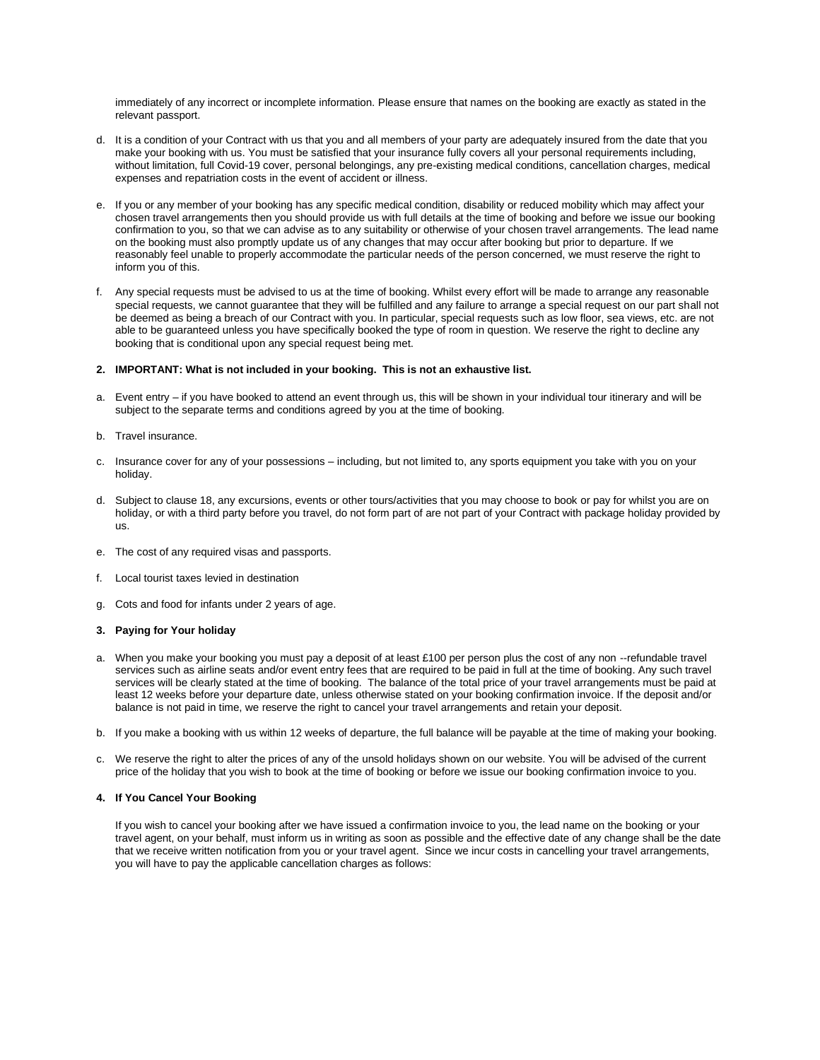immediately of any incorrect or incomplete information. Please ensure that names on the booking are exactly as stated in the relevant passport.

- d. It is a condition of your Contract with us that you and all members of your party are adequately insured from the date that you make your booking with us. You must be satisfied that your insurance fully covers all your personal requirements including, without limitation, full Covid-19 cover, personal belongings, any pre-existing medical conditions, cancellation charges, medical expenses and repatriation costs in the event of accident or illness.
- e. If you or any member of your booking has any specific medical condition, disability or reduced mobility which may affect your chosen travel arrangements then you should provide us with full details at the time of booking and before we issue our booking confirmation to you, so that we can advise as to any suitability or otherwise of your chosen travel arrangements. The lead name on the booking must also promptly update us of any changes that may occur after booking but prior to departure. If we reasonably feel unable to properly accommodate the particular needs of the person concerned, we must reserve the right to inform you of this.
- f. Any special requests must be advised to us at the time of booking. Whilst every effort will be made to arrange any reasonable special requests, we cannot guarantee that they will be fulfilled and any failure to arrange a special request on our part shall not be deemed as being a breach of our Contract with you. In particular, special requests such as low floor, sea views, etc. are not able to be guaranteed unless you have specifically booked the type of room in question. We reserve the right to decline any booking that is conditional upon any special request being met.

# **2. IMPORTANT: What is not included in your booking. This is not an exhaustive list.**

- a. Event entry if you have booked to attend an event through us, this will be shown in your individual tour itinerary and will be subject to the separate terms and conditions agreed by you at the time of booking.
- b. Travel insurance.
- c. Insurance cover for any of your possessions including, but not limited to, any sports equipment you take with you on your holiday.
- d. Subject to clause 18, any excursions, events or other tours/activities that you may choose to book or pay for whilst you are on holiday, or with a third party before you travel, do not form part of are not part of your Contract with package holiday provided by us.
- e. The cost of any required visas and passports.
- f. Local tourist taxes levied in destination
- g. Cots and food for infants under 2 years of age.

### **3. Paying for Your holiday**

- a. When you make your booking you must pay a deposit of at least £100 per person plus the cost of any non --refundable travel services such as airline seats and/or event entry fees that are required to be paid in full at the time of booking. Any such travel services will be clearly stated at the time of booking. The balance of the total price of your travel arrangements must be paid at least 12 weeks before your departure date, unless otherwise stated on your booking confirmation invoice. If the deposit and/or balance is not paid in time, we reserve the right to cancel your travel arrangements and retain your deposit.
- b. If you make a booking with us within 12 weeks of departure, the full balance will be payable at the time of making your booking.
- c. We reserve the right to alter the prices of any of the unsold holidays shown on our website. You will be advised of the current price of the holiday that you wish to book at the time of booking or before we issue our booking confirmation invoice to you.

### **4. If You Cancel Your Booking**

If you wish to cancel your booking after we have issued a confirmation invoice to you, the lead name on the booking or your travel agent, on your behalf, must inform us in writing as soon as possible and the effective date of any change shall be the date that we receive written notification from you or your travel agent. Since we incur costs in cancelling your travel arrangements, you will have to pay the applicable cancellation charges as follows: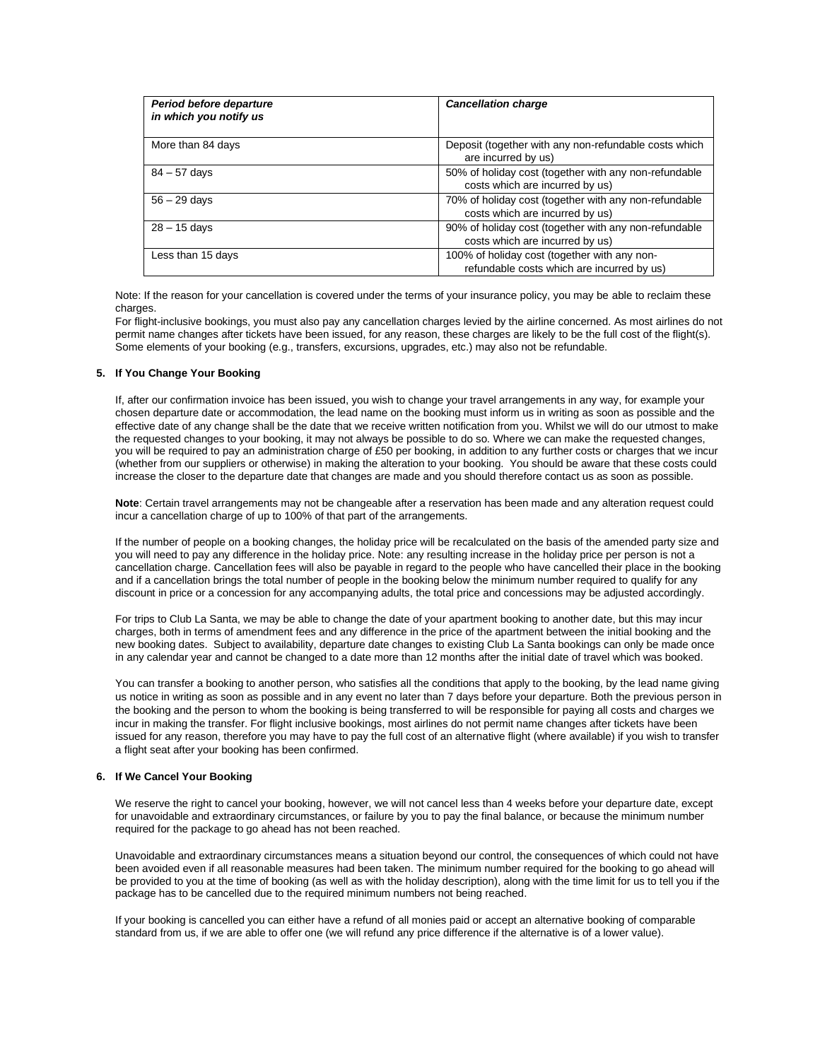| Period before departure<br>in which you notify us | <b>Cancellation charge</b>                                                                 |
|---------------------------------------------------|--------------------------------------------------------------------------------------------|
| More than 84 days                                 | Deposit (together with any non-refundable costs which<br>are incurred by us)               |
| $84 - 57$ days                                    | 50% of holiday cost (together with any non-refundable<br>costs which are incurred by us)   |
| $56 - 29$ days                                    | 70% of holiday cost (together with any non-refundable<br>costs which are incurred by us)   |
| $28 - 15$ davs                                    | 90% of holiday cost (together with any non-refundable<br>costs which are incurred by us)   |
| Less than 15 days                                 | 100% of holiday cost (together with any non-<br>refundable costs which are incurred by us) |

Note: If the reason for your cancellation is covered under the terms of your insurance policy, you may be able to reclaim these charges.

For flight-inclusive bookings, you must also pay any cancellation charges levied by the airline concerned. As most airlines do not permit name changes after tickets have been issued, for any reason, these charges are likely to be the full cost of the flight(s). Some elements of your booking (e.g., transfers, excursions, upgrades, etc.) may also not be refundable.

# **5. If You Change Your Booking**

If, after our confirmation invoice has been issued, you wish to change your travel arrangements in any way, for example your chosen departure date or accommodation, the lead name on the booking must inform us in writing as soon as possible and the effective date of any change shall be the date that we receive written notification from you. Whilst we will do our utmost to make the requested changes to your booking, it may not always be possible to do so. Where we can make the requested changes, you will be required to pay an administration charge of £50 per booking, in addition to any further costs or charges that we incur (whether from our suppliers or otherwise) in making the alteration to your booking. You should be aware that these costs could increase the closer to the departure date that changes are made and you should therefore contact us as soon as possible.

**Note**: Certain travel arrangements may not be changeable after a reservation has been made and any alteration request could incur a cancellation charge of up to 100% of that part of the arrangements.

If the number of people on a booking changes, the holiday price will be recalculated on the basis of the amended party size and you will need to pay any difference in the holiday price. Note: any resulting increase in the holiday price per person is not a cancellation charge. Cancellation fees will also be payable in regard to the people who have cancelled their place in the booking and if a cancellation brings the total number of people in the booking below the minimum number required to qualify for any discount in price or a concession for any accompanying adults, the total price and concessions may be adjusted accordingly.

For trips to Club La Santa, we may be able to change the date of your apartment booking to another date, but this may incur charges, both in terms of amendment fees and any difference in the price of the apartment between the initial booking and the new booking dates. Subject to availability, departure date changes to existing Club La Santa bookings can only be made once in any calendar year and cannot be changed to a date more than 12 months after the initial date of travel which was booked.

You can transfer a booking to another person, who satisfies all the conditions that apply to the booking, by the lead name giving us notice in writing as soon as possible and in any event no later than 7 days before your departure. Both the previous person in the booking and the person to whom the booking is being transferred to will be responsible for paying all costs and charges we incur in making the transfer. For flight inclusive bookings, most airlines do not permit name changes after tickets have been issued for any reason, therefore you may have to pay the full cost of an alternative flight (where available) if you wish to transfer a flight seat after your booking has been confirmed.

# **6. If We Cancel Your Booking**

We reserve the right to cancel your booking, however, we will not cancel less than 4 weeks before your departure date, except for unavoidable and extraordinary circumstances, or failure by you to pay the final balance, or because the minimum number required for the package to go ahead has not been reached.

Unavoidable and extraordinary circumstances means a situation beyond our control, the consequences of which could not have been avoided even if all reasonable measures had been taken. The minimum number required for the booking to go ahead will be provided to you at the time of booking (as well as with the holiday description), along with the time limit for us to tell you if the package has to be cancelled due to the required minimum numbers not being reached.

If your booking is cancelled you can either have a refund of all monies paid or accept an alternative booking of comparable standard from us, if we are able to offer one (we will refund any price difference if the alternative is of a lower value).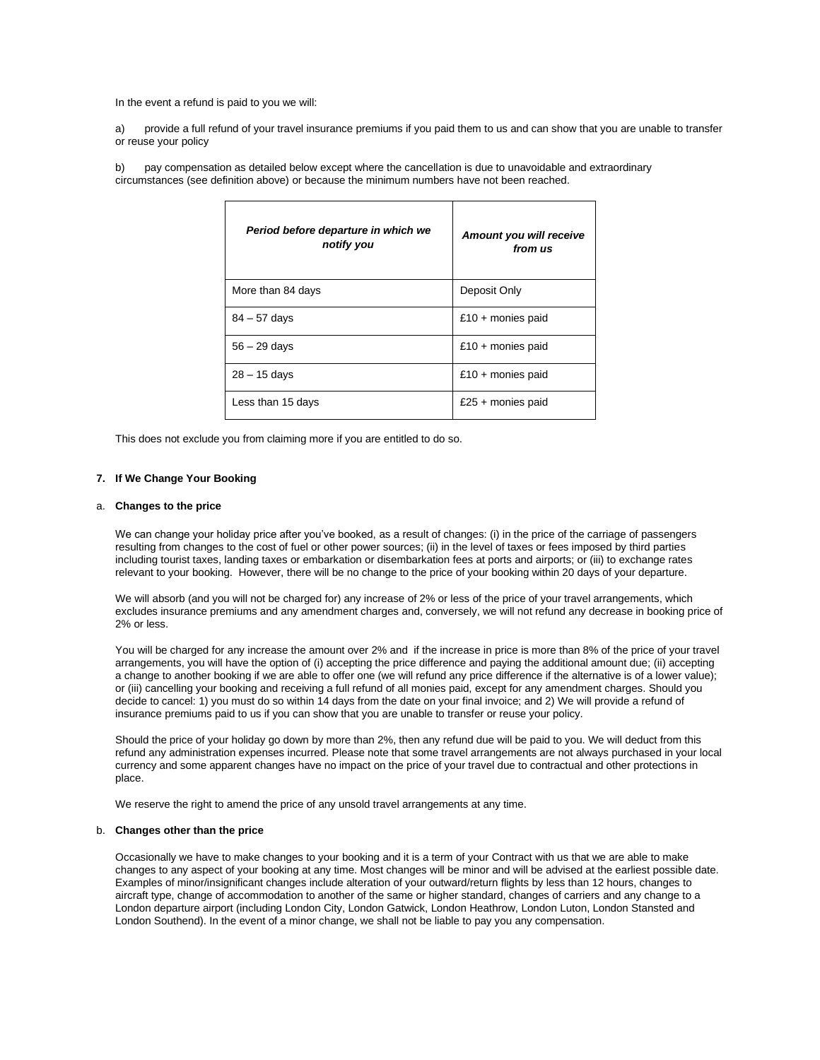In the event a refund is paid to you we will:

a) provide a full refund of your travel insurance premiums if you paid them to us and can show that you are unable to transfer or reuse your policy

b) pay compensation as detailed below except where the cancellation is due to unavoidable and extraordinary circumstances (see definition above) or because the minimum numbers have not been reached.

|  | Period before departure in which we<br>notify you | Amount you will receive<br>from us |
|--|---------------------------------------------------|------------------------------------|
|  | More than 84 days                                 | Deposit Only                       |
|  | $84 - 57$ days                                    | £10 + monies paid                  |
|  | $56 - 29$ days                                    | £10 + monies paid                  |
|  | $28 - 15$ days                                    | £10 + monies paid                  |
|  | Less than 15 days                                 | £25 + monies paid                  |

This does not exclude you from claiming more if you are entitled to do so.

### **7. If We Change Your Booking**

# a. **Changes to the price**

We can change your holiday price after you've booked, as a result of changes: (i) in the price of the carriage of passengers resulting from changes to the cost of fuel or other power sources; (ii) in the level of taxes or fees imposed by third parties including tourist taxes, landing taxes or embarkation or disembarkation fees at ports and airports; or (iii) to exchange rates relevant to your booking. However, there will be no change to the price of your booking within 20 days of your departure.

We will absorb (and you will not be charged for) any increase of 2% or less of the price of your travel arrangements, which excludes insurance premiums and any amendment charges and, conversely, we will not refund any decrease in booking price of 2% or less.

You will be charged for any increase the amount over 2% and if the increase in price is more than 8% of the price of your travel arrangements, you will have the option of (i) accepting the price difference and paying the additional amount due; (ii) accepting a change to another booking if we are able to offer one (we will refund any price difference if the alternative is of a lower value); or (iii) cancelling your booking and receiving a full refund of all monies paid, except for any amendment charges. Should you decide to cancel: 1) you must do so within 14 days from the date on your final invoice; and 2) We will provide a refund of insurance premiums paid to us if you can show that you are unable to transfer or reuse your policy.

Should the price of your holiday go down by more than 2%, then any refund due will be paid to you. We will deduct from this refund any administration expenses incurred. Please note that some travel arrangements are not always purchased in your local currency and some apparent changes have no impact on the price of your travel due to contractual and other protections in place.

We reserve the right to amend the price of any unsold travel arrangements at any time.

### b. **Changes other than the price**

Occasionally we have to make changes to your booking and it is a term of your Contract with us that we are able to make changes to any aspect of your booking at any time. Most changes will be minor and will be advised at the earliest possible date. Examples of minor/insignificant changes include alteration of your outward/return flights by less than 12 hours, changes to aircraft type, change of accommodation to another of the same or higher standard, changes of carriers and any change to a London departure airport (including London City, London Gatwick, London Heathrow, London Luton, London Stansted and London Southend). In the event of a minor change, we shall not be liable to pay you any compensation.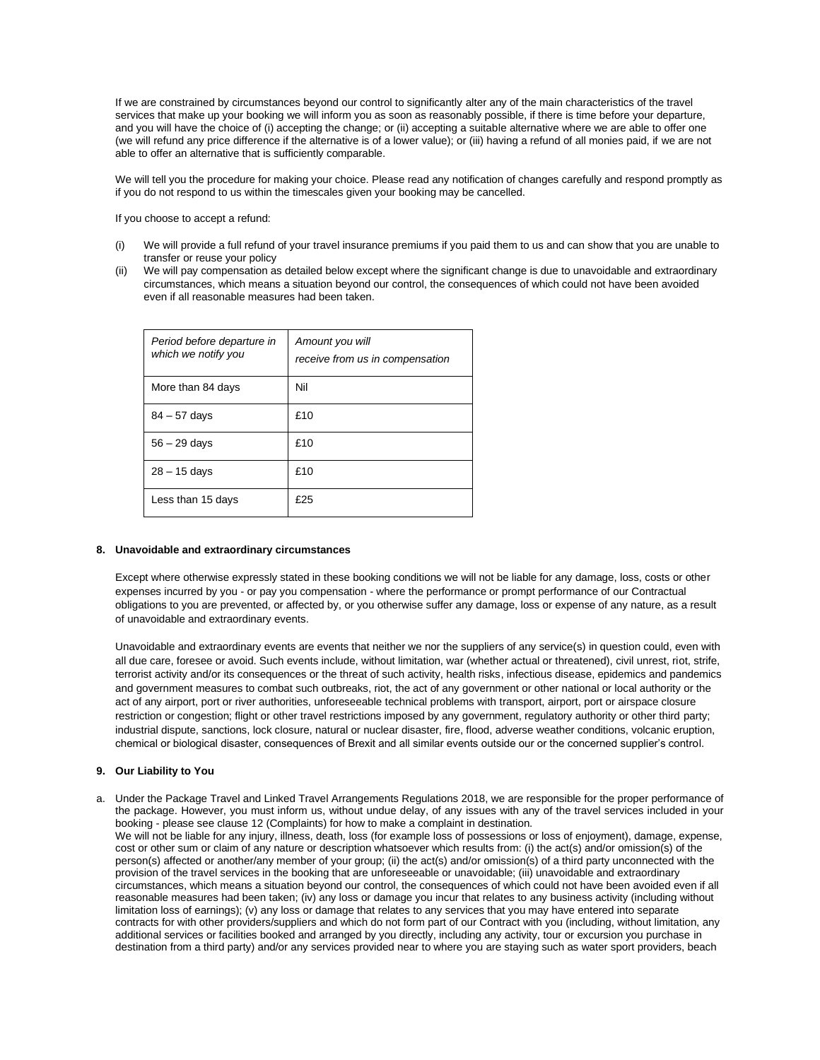If we are constrained by circumstances beyond our control to significantly alter any of the main characteristics of the travel services that make up your booking we will inform you as soon as reasonably possible, if there is time before your departure, and you will have the choice of (i) accepting the change; or (ii) accepting a suitable alternative where we are able to offer one (we will refund any price difference if the alternative is of a lower value); or (iii) having a refund of all monies paid, if we are not able to offer an alternative that is sufficiently comparable.

We will tell you the procedure for making your choice. Please read any notification of changes carefully and respond promptly as if you do not respond to us within the timescales given your booking may be cancelled.

If you choose to accept a refund:

- (i) We will provide a full refund of your travel insurance premiums if you paid them to us and can show that you are unable to transfer or reuse your policy
- (ii) We will pay compensation as detailed below except where the significant change is due to unavoidable and extraordinary circumstances, which means a situation beyond our control, the consequences of which could not have been avoided even if all reasonable measures had been taken.

| Period before departure in<br>which we notify you | Amount you will<br>receive from us in compensation |
|---------------------------------------------------|----------------------------------------------------|
| More than 84 days                                 | Nil                                                |
| $84 - 57$ days                                    | £10                                                |
| $56 - 29$ days                                    | £10                                                |
| $28 - 15$ days                                    | £10                                                |
| Less than 15 days                                 | £25                                                |

# **8. Unavoidable and extraordinary circumstances**

Except where otherwise expressly stated in these booking conditions we will not be liable for any damage, loss, costs or other expenses incurred by you - or pay you compensation - where the performance or prompt performance of our Contractual obligations to you are prevented, or affected by, or you otherwise suffer any damage, loss or expense of any nature, as a result of unavoidable and extraordinary events.

Unavoidable and extraordinary events are events that neither we nor the suppliers of any service(s) in question could, even with all due care, foresee or avoid. Such events include, without limitation, war (whether actual or threatened), civil unrest, riot, strife, terrorist activity and/or its consequences or the threat of such activity, health risks, infectious disease, epidemics and pandemics and government measures to combat such outbreaks, riot, the act of any government or other national or local authority or the act of any airport, port or river authorities, unforeseeable technical problems with transport, airport, port or airspace closure restriction or congestion; flight or other travel restrictions imposed by any government, regulatory authority or other third party; industrial dispute, sanctions, lock closure, natural or nuclear disaster, fire, flood, adverse weather conditions, volcanic eruption, chemical or biological disaster, consequences of Brexit and all similar events outside our or the concerned supplier's control.

# **9. Our Liability to You**

a. Under the Package Travel and Linked Travel Arrangements Regulations 2018, we are responsible for the proper performance of the package. However, you must inform us, without undue delay, of any issues with any of the travel services included in your booking - please see clause 12 (Complaints) for how to make a complaint in destination. We will not be liable for any injury, illness, death, loss (for example loss of possessions or loss of enjoyment), damage, expense, cost or other sum or claim of any nature or description whatsoever which results from: (i) the act(s) and/or omission(s) of the person(s) affected or another/any member of your group; (ii) the act(s) and/or omission(s) of a third party unconnected with the provision of the travel services in the booking that are unforeseeable or unavoidable; (iii) unavoidable and extraordinary circumstances, which means a situation beyond our control, the consequences of which could not have been avoided even if all reasonable measures had been taken; (iv) any loss or damage you incur that relates to any business activity (including without limitation loss of earnings); (v) any loss or damage that relates to any services that you may have entered into separate contracts for with other providers/suppliers and which do not form part of our Contract with you (including, without limitation, any additional services or facilities booked and arranged by you directly, including any activity, tour or excursion you purchase in destination from a third party) and/or any services provided near to where you are staying such as water sport providers, beach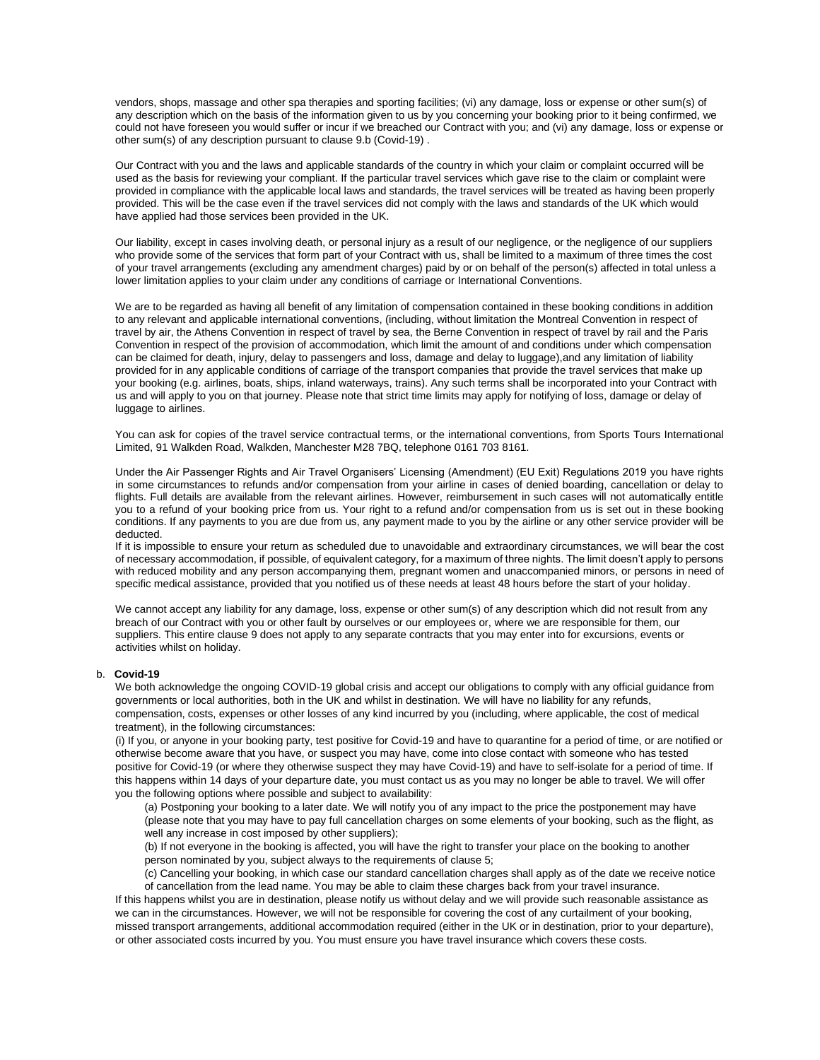vendors, shops, massage and other spa therapies and sporting facilities; (vi) any damage, loss or expense or other sum(s) of any description which on the basis of the information given to us by you concerning your booking prior to it being confirmed, we could not have foreseen you would suffer or incur if we breached our Contract with you; and (vi) any damage, loss or expense or other sum(s) of any description pursuant to clause 9.b (Covid-19) .

Our Contract with you and the laws and applicable standards of the country in which your claim or complaint occurred will be used as the basis for reviewing your compliant. If the particular travel services which gave rise to the claim or complaint were provided in compliance with the applicable local laws and standards, the travel services will be treated as having been properly provided. This will be the case even if the travel services did not comply with the laws and standards of the UK which would have applied had those services been provided in the UK.

Our liability, except in cases involving death, or personal injury as a result of our negligence, or the negligence of our suppliers who provide some of the services that form part of your Contract with us, shall be limited to a maximum of three times the cost of your travel arrangements (excluding any amendment charges) paid by or on behalf of the person(s) affected in total unless a lower limitation applies to your claim under any conditions of carriage or International Conventions.

We are to be regarded as having all benefit of any limitation of compensation contained in these booking conditions in addition to any relevant and applicable international conventions, (including, without limitation the Montreal Convention in respect of travel by air, the Athens Convention in respect of travel by sea, the Berne Convention in respect of travel by rail and the Paris Convention in respect of the provision of accommodation, which limit the amount of and conditions under which compensation can be claimed for death, injury, delay to passengers and loss, damage and delay to luggage),and any limitation of liability provided for in any applicable conditions of carriage of the transport companies that provide the travel services that make up your booking (e.g. airlines, boats, ships, inland waterways, trains). Any such terms shall be incorporated into your Contract with us and will apply to you on that journey. Please note that strict time limits may apply for notifying of loss, damage or delay of luggage to airlines.

You can ask for copies of the travel service contractual terms, or the international conventions, from Sports Tours International Limited, 91 Walkden Road, Walkden, Manchester M28 7BQ, telephone 0161 703 8161.

Under the Air Passenger Rights and Air Travel Organisers' Licensing (Amendment) (EU Exit) Regulations 2019 you have rights in some circumstances to refunds and/or compensation from your airline in cases of denied boarding, cancellation or delay to flights. Full details are available from the relevant airlines. However, reimbursement in such cases will not automatically entitle you to a refund of your booking price from us. Your right to a refund and/or compensation from us is set out in these booking conditions. If any payments to you are due from us, any payment made to you by the airline or any other service provider will be deducted.

If it is impossible to ensure your return as scheduled due to unavoidable and extraordinary circumstances, we will bear the cost of necessary accommodation, if possible, of equivalent category, for a maximum of three nights. The limit doesn't apply to persons with reduced mobility and any person accompanying them, pregnant women and unaccompanied minors, or persons in need of specific medical assistance, provided that you notified us of these needs at least 48 hours before the start of your holiday.

We cannot accept any liability for any damage, loss, expense or other sum(s) of any description which did not result from any breach of our Contract with you or other fault by ourselves or our employees or, where we are responsible for them, our suppliers. This entire clause 9 does not apply to any separate contracts that you may enter into for excursions, events or activities whilst on holiday.

### b. **Covid-19**

We both acknowledge the ongoing COVID-19 global crisis and accept our obligations to comply with any official guidance from governments or local authorities, both in the UK and whilst in destination. We will have no liability for any refunds, compensation, costs, expenses or other losses of any kind incurred by you (including, where applicable, the cost of medical treatment), in the following circumstances:

(i) If you, or anyone in your booking party, test positive for Covid-19 and have to quarantine for a period of time, or are notified or otherwise become aware that you have, or suspect you may have, come into close contact with someone who has tested positive for Covid-19 (or where they otherwise suspect they may have Covid-19) and have to self-isolate for a period of time. If this happens within 14 days of your departure date, you must contact us as you may no longer be able to travel. We will offer you the following options where possible and subject to availability:

(a) Postponing your booking to a later date. We will notify you of any impact to the price the postponement may have (please note that you may have to pay full cancellation charges on some elements of your booking, such as the flight, as well any increase in cost imposed by other suppliers);

(b) If not everyone in the booking is affected, you will have the right to transfer your place on the booking to another person nominated by you, subject always to the requirements of clause 5;

(c) Cancelling your booking, in which case our standard cancellation charges shall apply as of the date we receive notice of cancellation from the lead name. You may be able to claim these charges back from your travel insurance.

If this happens whilst you are in destination, please notify us without delay and we will provide such reasonable assistance as we can in the circumstances. However, we will not be responsible for covering the cost of any curtailment of your booking, missed transport arrangements, additional accommodation required (either in the UK or in destination, prior to your departure), or other associated costs incurred by you. You must ensure you have travel insurance which covers these costs.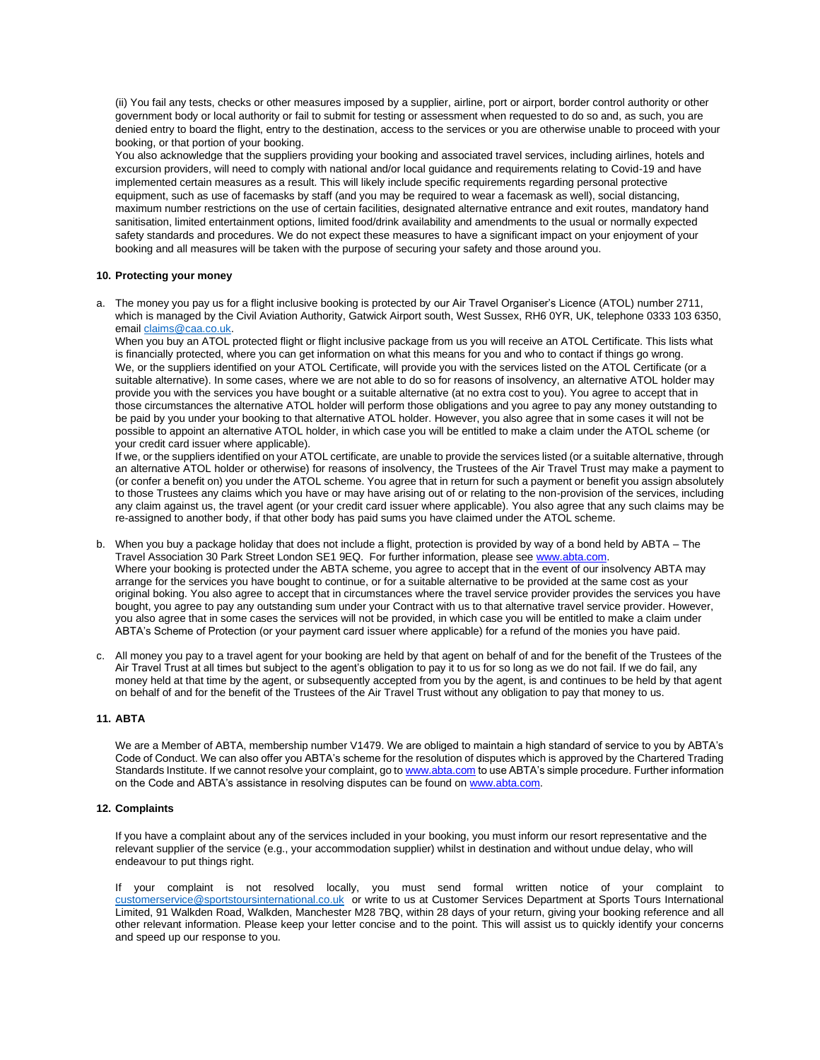(ii) You fail any tests, checks or other measures imposed by a supplier, airline, port or airport, border control authority or other government body or local authority or fail to submit for testing or assessment when requested to do so and, as such, you are denied entry to board the flight, entry to the destination, access to the services or you are otherwise unable to proceed with your booking, or that portion of your booking.

You also acknowledge that the suppliers providing your booking and associated travel services, including airlines, hotels and excursion providers, will need to comply with national and/or local guidance and requirements relating to Covid-19 and have implemented certain measures as a result. This will likely include specific requirements regarding personal protective equipment, such as use of facemasks by staff (and you may be required to wear a facemask as well), social distancing, maximum number restrictions on the use of certain facilities, designated alternative entrance and exit routes, mandatory hand sanitisation, limited entertainment options, limited food/drink availability and amendments to the usual or normally expected safety standards and procedures. We do not expect these measures to have a significant impact on your enjoyment of your booking and all measures will be taken with the purpose of securing your safety and those around you.

### **10. Protecting your money**

a. The money you pay us for a flight inclusive booking is protected by our Air Travel Organiser's Licence (ATOL) number 2711, which is managed by the Civil Aviation Authority, Gatwick Airport south, West Sussex, RH6 0YR, UK, telephone 0333 103 6350, emai[l claims@caa.co.uk.](mailto:claims@caa.co.uk) 

When you buy an ATOL protected flight or flight inclusive package from us you will receive an ATOL Certificate. This lists what is financially protected, where you can get information on what this means for you and who to contact if things go wrong. We, or the suppliers identified on your ATOL Certificate, will provide you with the services listed on the ATOL Certificate (or a suitable alternative). In some cases, where we are not able to do so for reasons of insolvency, an alternative ATOL holder may provide you with the services you have bought or a suitable alternative (at no extra cost to you). You agree to accept that in those circumstances the alternative ATOL holder will perform those obligations and you agree to pay any money outstanding to be paid by you under your booking to that alternative ATOL holder. However, you also agree that in some cases it will not be possible to appoint an alternative ATOL holder, in which case you will be entitled to make a claim under the ATOL scheme (or your credit card issuer where applicable).

If we, or the suppliers identified on your ATOL certificate, are unable to provide the services listed (or a suitable alternative, through an alternative ATOL holder or otherwise) for reasons of insolvency, the Trustees of the Air Travel Trust may make a payment to (or confer a benefit on) you under the ATOL scheme. You agree that in return for such a payment or benefit you assign absolutely to those Trustees any claims which you have or may have arising out of or relating to the non-provision of the services, including any claim against us, the travel agent (or your credit card issuer where applicable). You also agree that any such claims may be re-assigned to another body, if that other body has paid sums you have claimed under the ATOL scheme.

- b. When you buy a package holiday that does not include a flight, protection is provided by way of a bond held by ABTA The Travel Association 30 Park Street London SE1 9EQ. For further information, please se[e www.abta.com.](http://www.abta.com/) Where your booking is protected under the ABTA scheme, you agree to accept that in the event of our insolvency ABTA may arrange for the services you have bought to continue, or for a suitable alternative to be provided at the same cost as your original boking. You also agree to accept that in circumstances where the travel service provider provides the services you have bought, you agree to pay any outstanding sum under your Contract with us to that alternative travel service provider. However, you also agree that in some cases the services will not be provided, in which case you will be entitled to make a claim under ABTA's Scheme of Protection (or your payment card issuer where applicable) for a refund of the monies you have paid.
- c. All money you pay to a travel agent for your booking are held by that agent on behalf of and for the benefit of the Trustees of the Air Travel Trust at all times but subject to the agent's obligation to pay it to us for so long as we do not fail. If we do fail, any money held at that time by the agent, or subsequently accepted from you by the agent, is and continues to be held by that agent on behalf of and for the benefit of the Trustees of the Air Travel Trust without any obligation to pay that money to us.

# **11. ABTA**

We are a Member of ABTA, membership number V1479. We are obliged to maintain a high standard of service to you by ABTA's Code of Conduct. We can also offer you ABTA's scheme for the resolution of disputes which is approved by the Chartered Trading Standards Institute. If we cannot resolve your complaint, go t[o www.abta.com](http://www.abta.com/) to use ABTA's simple procedure. Further information on the Code and ABTA's assistance in resolving disputes can be found on [www.abta.com.](http://www.abta.com/) 

### **12. Complaints**

If you have a complaint about any of the services included in your booking, you must inform our resort representative and the relevant supplier of the service (e.g., your accommodation supplier) whilst in destination and without undue delay, who will endeavour to put things right.

If your complaint is not resolved locally, you must send formal written notice of your complaint to [customerservice@sportstoursinternational.co.uk](mailto:customerservice@sportstoursinternational.co.uk) or write to us at Customer Services Department at Sports Tours International Limited, 91 Walkden Road, Walkden, Manchester M28 7BQ, within 28 days of your return, giving your booking reference and all other relevant information. Please keep your letter concise and to the point. This will assist us to quickly identify your concerns and speed up our response to you.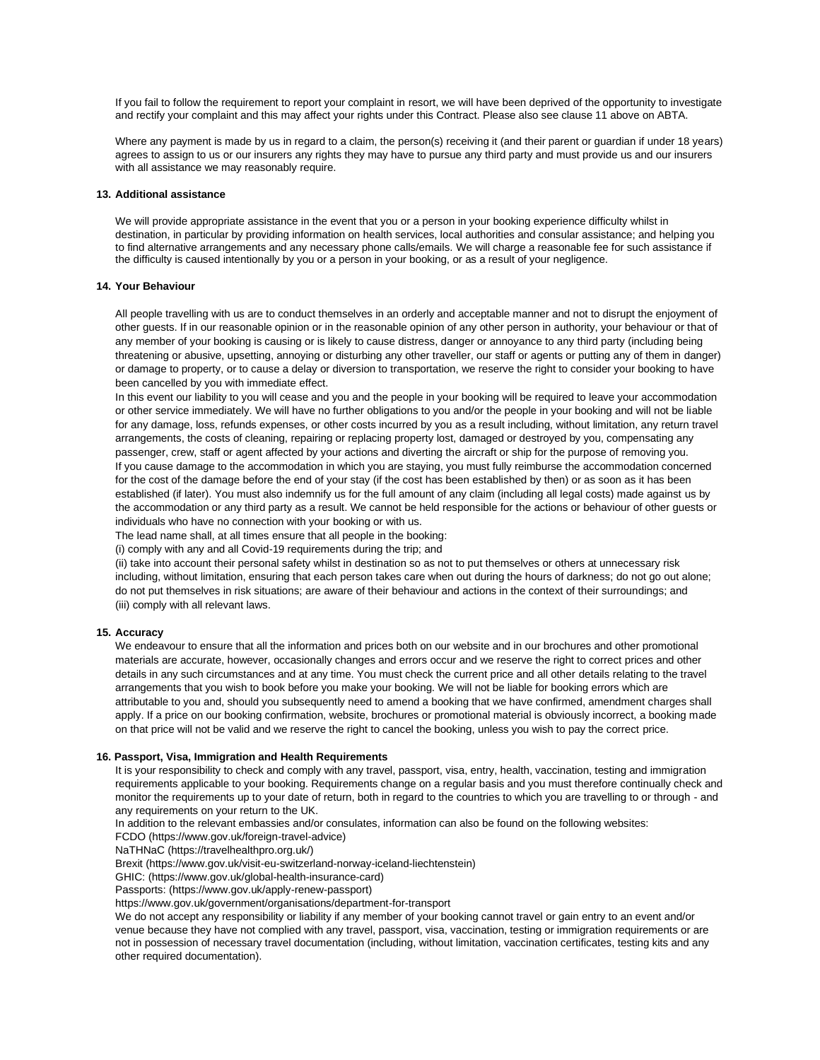If you fail to follow the requirement to report your complaint in resort, we will have been deprived of the opportunity to investigate and rectify your complaint and this may affect your rights under this Contract. Please also see clause 11 above on ABTA.

Where any payment is made by us in regard to a claim, the person(s) receiving it (and their parent or guardian if under 18 years) agrees to assign to us or our insurers any rights they may have to pursue any third party and must provide us and our insurers with all assistance we may reasonably require.

### **13. Additional assistance**

We will provide appropriate assistance in the event that you or a person in your booking experience difficulty whilst in destination, in particular by providing information on health services, local authorities and consular assistance; and helping you to find alternative arrangements and any necessary phone calls/emails. We will charge a reasonable fee for such assistance if the difficulty is caused intentionally by you or a person in your booking, or as a result of your negligence.

### **14. Your Behaviour**

All people travelling with us are to conduct themselves in an orderly and acceptable manner and not to disrupt the enjoyment of other guests. If in our reasonable opinion or in the reasonable opinion of any other person in authority, your behaviour or that of any member of your booking is causing or is likely to cause distress, danger or annoyance to any third party (including being threatening or abusive, upsetting, annoying or disturbing any other traveller, our staff or agents or putting any of them in danger) or damage to property, or to cause a delay or diversion to transportation, we reserve the right to consider your booking to have been cancelled by you with immediate effect.

In this event our liability to you will cease and you and the people in your booking will be required to leave your accommodation or other service immediately. We will have no further obligations to you and/or the people in your booking and will not be liable for any damage, loss, refunds expenses, or other costs incurred by you as a result including, without limitation, any return travel arrangements, the costs of cleaning, repairing or replacing property lost, damaged or destroyed by you, compensating any passenger, crew, staff or agent affected by your actions and diverting the aircraft or ship for the purpose of removing you. If you cause damage to the accommodation in which you are staying, you must fully reimburse the accommodation concerned for the cost of the damage before the end of your stay (if the cost has been established by then) or as soon as it has been established (if later). You must also indemnify us for the full amount of any claim (including all legal costs) made against us by the accommodation or any third party as a result. We cannot be held responsible for the actions or behaviour of other guests or individuals who have no connection with your booking or with us.

The lead name shall, at all times ensure that all people in the booking:

(i) comply with any and all Covid-19 requirements during the trip; and

(ii) take into account their personal safety whilst in destination so as not to put themselves or others at unnecessary risk including, without limitation, ensuring that each person takes care when out during the hours of darkness; do not go out alone; do not put themselves in risk situations; are aware of their behaviour and actions in the context of their surroundings; and (iii) comply with all relevant laws.

# **15. Accuracy**

We endeavour to ensure that all the information and prices both on our website and in our brochures and other promotional materials are accurate, however, occasionally changes and errors occur and we reserve the right to correct prices and other details in any such circumstances and at any time. You must check the current price and all other details relating to the travel arrangements that you wish to book before you make your booking. We will not be liable for booking errors which are attributable to you and, should you subsequently need to amend a booking that we have confirmed, amendment charges shall apply. If a price on our booking confirmation, website, brochures or promotional material is obviously incorrect, a booking made on that price will not be valid and we reserve the right to cancel the booking, unless you wish to pay the correct price.

### **16. Passport, Visa, Immigration and Health Requirements**

It is your responsibility to check and comply with any travel, passport, visa, entry, health, vaccination, testing and immigration requirements applicable to your booking. Requirements change on a regular basis and you must therefore continually check and monitor the requirements up to your date of return, both in regard to the countries to which you are travelling to or through - and any requirements on your return to the UK.

In addition to the relevant embassies and/or consulates, information can also be found on the following websites:

FCDO (https://www.gov.uk/foreign-travel-advice)

NaTHNaC (https://travelhealthpro.org.uk/)

Brexit (https://www.gov.uk/visit-eu-switzerland-norway-iceland-liechtenstein)

GHIC: (https://www.gov.uk/global-health-insurance-card)

Passports: (https://www.gov.uk/apply-renew-passport)

https://www.gov.uk/government/organisations/department-for-transport

We do not accept any responsibility or liability if any member of your booking cannot travel or gain entry to an event and/or venue because they have not complied with any travel, passport, visa, vaccination, testing or immigration requirements or are not in possession of necessary travel documentation (including, without limitation, vaccination certificates, testing kits and any other required documentation).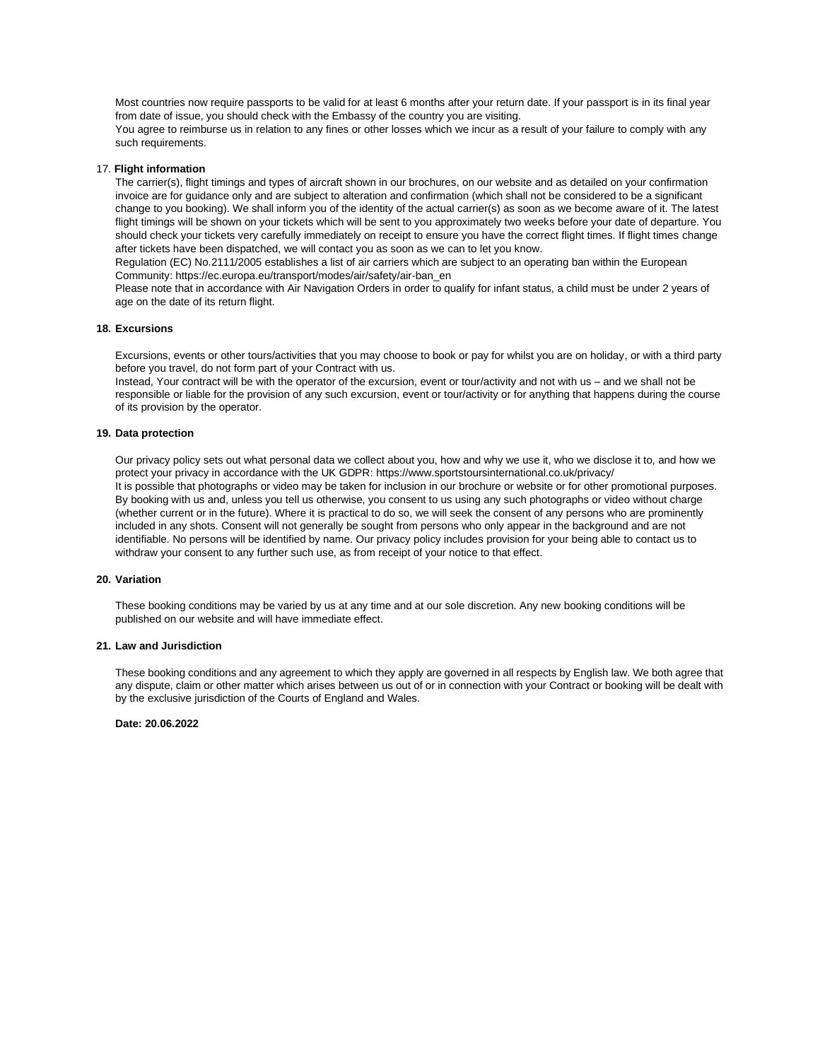Most countries now require passports to be valid for at least 6 months after your return date. If your passport is in its final year from date of issue, you should check with the Embassy of the country you are visiting.

You agree to reimburse us in relation to any fines or other losses which we incur as a result of your failure to comply with any such requirements.

### 17. **Flight information**

The carrier(s), flight timings and types of aircraft shown in our brochures, on our website and as detailed on your confirmation invoice are for guidance only and are subject to alteration and confirmation (which shall not be considered to be a significant change to you booking). We shall inform you of the identity of the actual carrier(s) as soon as we become aware of it. The latest flight timings will be shown on your tickets which will be sent to you approximately two weeks before your date of departure. You should check your tickets very carefully immediately on receipt to ensure you have the correct flight times. If flight times change after tickets have been dispatched, we will contact you as soon as we can to let you know.

Regulation (EC) No.2111/2005 establishes a list of air carriers which are subject to an operating ban within the European Community: https://ec.europa.eu/transport/modes/air/safety/air-ban\_en

Please note that in accordance with Air Navigation Orders in order to qualify for infant status, a child must be under 2 years of age on the date of its return flight.

### **18. Excursions**

Excursions, events or other tours/activities that you may choose to book or pay for whilst you are on holiday, or with a third party before you travel, do not form part of your Contract with us.

Instead, Your contract will be with the operator of the excursion, event or tour/activity and not with us – and we shall not be responsible or liable for the provision of any such excursion, event or tour/activity or for anything that happens during the course of its provision by the operator.

# **19. Data protection**

Our privacy policy sets out what personal data we collect about you, how and why we use it, who we disclose it to, and how we protect your privacy in accordance with the UK GDPR: https://www.sportstoursinternational.co.uk/privacy/ It is possible that photographs or video may be taken for inclusion in our brochure or website or for other promotional purposes. By booking with us and, unless you tell us otherwise, you consent to us using any such photographs or video without charge (whether current or in the future). Where it is practical to do so, we will seek the consent of any persons who are prominently included in any shots. Consent will not generally be sought from persons who only appear in the background and are not identifiable. No persons will be identified by name. Our privacy policy includes provision for your being able to contact us to withdraw your consent to any further such use, as from receipt of your notice to that effect.

# **20. Variation**

These booking conditions may be varied by us at any time and at our sole discretion. Any new booking conditions will be published on our website and will have immediate effect.

### **21. Law and Jurisdiction**

These booking conditions and any agreement to which they apply are governed in all respects by English law. We both agree that any dispute, claim or other matter which arises between us out of or in connection with your Contract or booking will be dealt with by the exclusive jurisdiction of the Courts of England and Wales.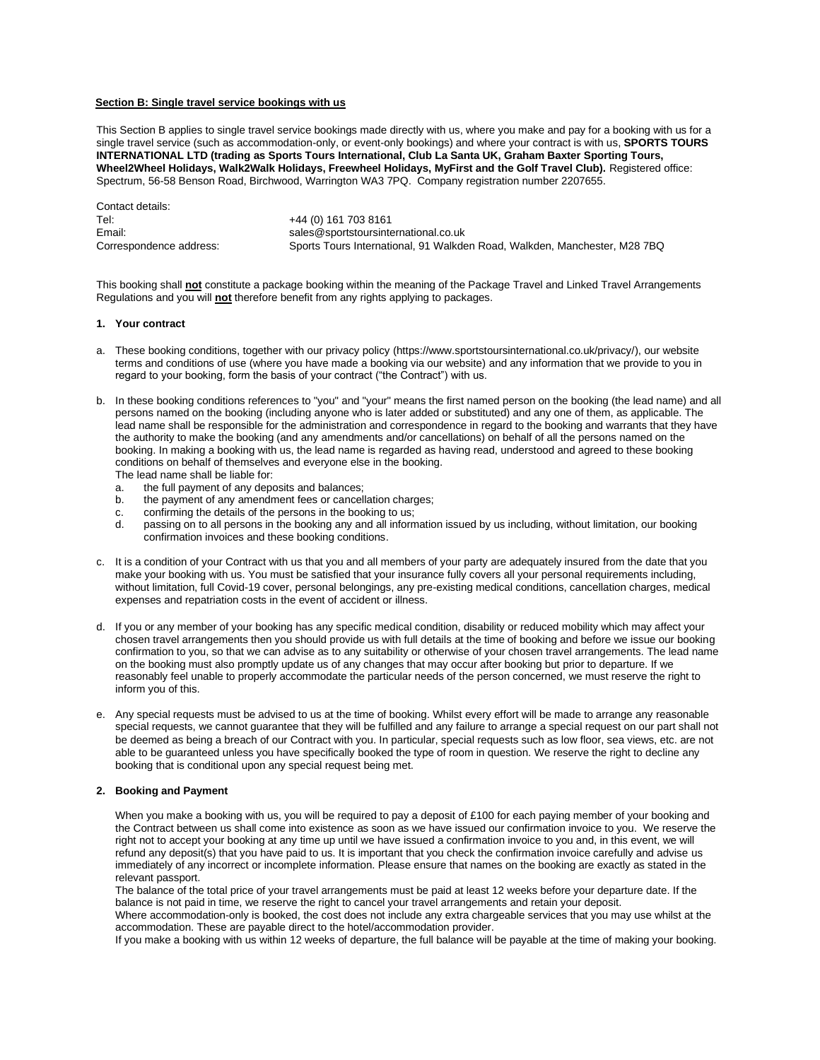### **Section B: Single travel service bookings with us**

This Section B applies to single travel service bookings made directly with us, where you make and pay for a booking with us for a single travel service (such as accommodation-only, or event-only bookings) and where your contract is with us, **SPORTS TOURS INTERNATIONAL LTD (trading as Sports Tours International, Club La Santa UK, Graham Baxter Sporting Tours, Wheel2Wheel Holidays, Walk2Walk Holidays, Freewheel Holidays, MyFirst and the Golf Travel Club).** Registered office: Spectrum, 56-58 Benson Road, Birchwood, Warrington WA3 7PQ. Company registration number 2207655.

Contact details: Tel: +44 (0) 161 703 8161 Email: sales@sportstoursinternational.co.uk Correspondence address: Sports Tours International, 91 Walkden Road, Walkden, Manchester, M28 7BQ

This booking shall **not** constitute a package booking within the meaning of the Package Travel and Linked Travel Arrangements Regulations and you will **not** therefore benefit from any rights applying to packages.

# **1. Your contract**

- a. These booking conditions, together with our privacy policy (https://www.sportstoursinternational.co.uk/privacy/), our website terms and conditions of use (where you have made a booking via our website) and any information that we provide to you in regard to your booking, form the basis of your contract ("the Contract") with us.
- b. In these booking conditions references to "you" and "your" means the first named person on the booking (the lead name) and all persons named on the booking (including anyone who is later added or substituted) and any one of them, as applicable. The lead name shall be responsible for the administration and correspondence in regard to the booking and warrants that they have the authority to make the booking (and any amendments and/or cancellations) on behalf of all the persons named on the booking. In making a booking with us, the lead name is regarded as having read, understood and agreed to these booking conditions on behalf of themselves and everyone else in the booking. The lead name shall be liable for:
	-
	- a. the full payment of any deposits and balances;
	- b. the payment of any amendment fees or cancellation charges;
	- c. confirming the details of the persons in the booking to us;<br>d. passing on to all persons in the booking any and all inform
	- passing on to all persons in the booking any and all information issued by us including, without limitation, our booking confirmation invoices and these booking conditions.
- c. It is a condition of your Contract with us that you and all members of your party are adequately insured from the date that you make your booking with us. You must be satisfied that your insurance fully covers all your personal requirements including, without limitation, full Covid-19 cover, personal belongings, any pre-existing medical conditions, cancellation charges, medical expenses and repatriation costs in the event of accident or illness.
- d. If you or any member of your booking has any specific medical condition, disability or reduced mobility which may affect your chosen travel arrangements then you should provide us with full details at the time of booking and before we issue our booking confirmation to you, so that we can advise as to any suitability or otherwise of your chosen travel arrangements. The lead name on the booking must also promptly update us of any changes that may occur after booking but prior to departure. If we reasonably feel unable to properly accommodate the particular needs of the person concerned, we must reserve the right to inform you of this.
- e. Any special requests must be advised to us at the time of booking. Whilst every effort will be made to arrange any reasonable special requests, we cannot guarantee that they will be fulfilled and any failure to arrange a special request on our part shall not be deemed as being a breach of our Contract with you. In particular, special requests such as low floor, sea views, etc. are not able to be guaranteed unless you have specifically booked the type of room in question. We reserve the right to decline any booking that is conditional upon any special request being met.

### **2. Booking and Payment**

When you make a booking with us, you will be required to pay a deposit of £100 for each paying member of your booking and the Contract between us shall come into existence as soon as we have issued our confirmation invoice to you. We reserve the right not to accept your booking at any time up until we have issued a confirmation invoice to you and, in this event, we will refund any deposit(s) that you have paid to us. It is important that you check the confirmation invoice carefully and advise us immediately of any incorrect or incomplete information. Please ensure that names on the booking are exactly as stated in the relevant passport.

The balance of the total price of your travel arrangements must be paid at least 12 weeks before your departure date. If the balance is not paid in time, we reserve the right to cancel your travel arrangements and retain your deposit. Where accommodation-only is booked, the cost does not include any extra chargeable services that you may use whilst at the

accommodation. These are payable direct to the hotel/accommodation provider.

If you make a booking with us within 12 weeks of departure, the full balance will be payable at the time of making your booking.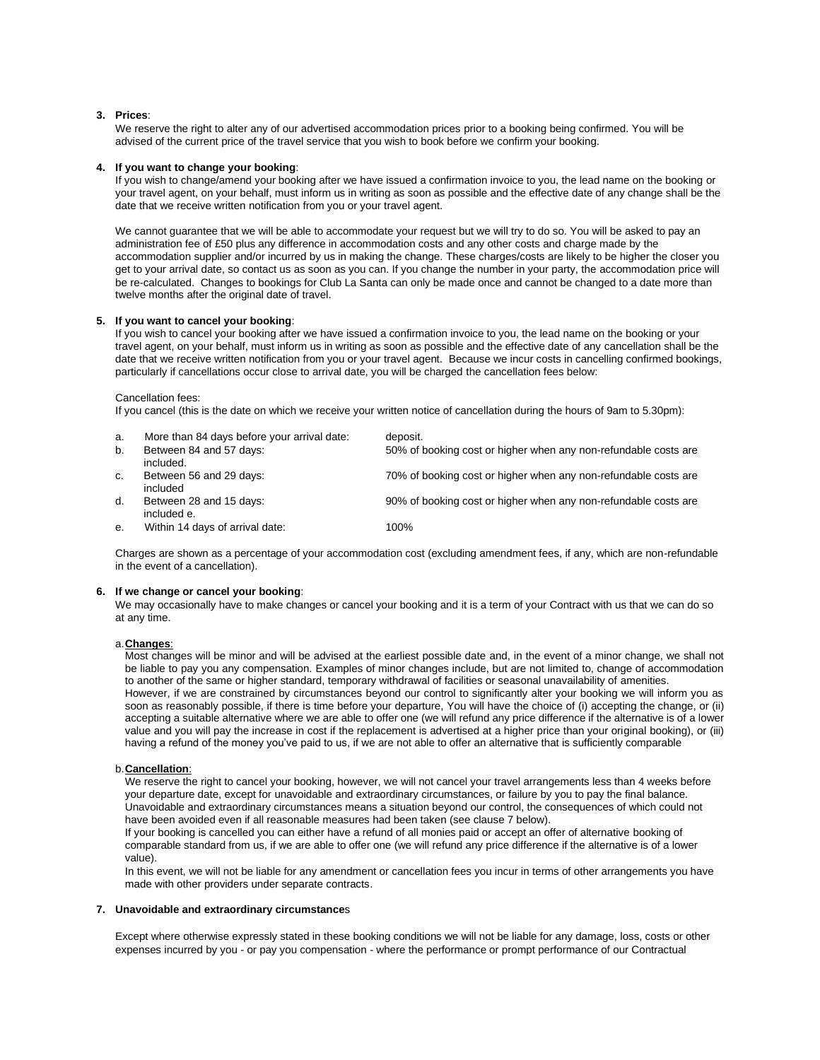### **3. Prices**:

We reserve the right to alter any of our advertised accommodation prices prior to a booking being confirmed. You will be advised of the current price of the travel service that you wish to book before we confirm your booking.

### **4. If you want to change your booking**:

If you wish to change/amend your booking after we have issued a confirmation invoice to you, the lead name on the booking or your travel agent, on your behalf, must inform us in writing as soon as possible and the effective date of any change shall be the date that we receive written notification from you or your travel agent.

We cannot quarantee that we will be able to accommodate your request but we will try to do so. You will be asked to pay an administration fee of £50 plus any difference in accommodation costs and any other costs and charge made by the accommodation supplier and/or incurred by us in making the change. These charges/costs are likely to be higher the closer you get to your arrival date, so contact us as soon as you can. If you change the number in your party, the accommodation price will be re-calculated. Changes to bookings for Club La Santa can only be made once and cannot be changed to a date more than twelve months after the original date of travel.

### **5. If you want to cancel your booking**:

If you wish to cancel your booking after we have issued a confirmation invoice to you, the lead name on the booking or your travel agent, on your behalf, must inform us in writing as soon as possible and the effective date of any cancellation shall be the date that we receive written notification from you or your travel agent. Because we incur costs in cancelling confirmed bookings, particularly if cancellations occur close to arrival date, you will be charged the cancellation fees below:

### Cancellation fees:

If you cancel (this is the date on which we receive your written notice of cancellation during the hours of 9am to 5.30pm):

| a. | More than 84 days before your arrival date: | deposit.                                                        |
|----|---------------------------------------------|-----------------------------------------------------------------|
| b. | Between 84 and 57 days:<br>included.        | 50% of booking cost or higher when any non-refundable costs are |
| C. | Between 56 and 29 days:<br>included         | 70% of booking cost or higher when any non-refundable costs are |
| d. | Between 28 and 15 days:<br>included e.      | 90% of booking cost or higher when any non-refundable costs are |
| е. | Within 14 days of arrival date:             | 100%                                                            |

Charges are shown as a percentage of your accommodation cost (excluding amendment fees, if any, which are non-refundable in the event of a cancellation).

### **6. If we change or cancel your booking**:

We may occasionally have to make changes or cancel your booking and it is a term of your Contract with us that we can do so at any time.

### a.**Changes**:

Most changes will be minor and will be advised at the earliest possible date and, in the event of a minor change, we shall not be liable to pay you any compensation. Examples of minor changes include, but are not limited to, change of accommodation to another of the same or higher standard, temporary withdrawal of facilities or seasonal unavailability of amenities. However, if we are constrained by circumstances beyond our control to significantly alter your booking we will inform you as soon as reasonably possible, if there is time before your departure, You will have the choice of (i) accepting the change, or (ii) accepting a suitable alternative where we are able to offer one (we will refund any price difference if the alternative is of a lower value and you will pay the increase in cost if the replacement is advertised at a higher price than your original booking), or (iii) having a refund of the money you've paid to us, if we are not able to offer an alternative that is sufficiently comparable

### b.**Cancellation**:

We reserve the right to cancel your booking, however, we will not cancel your travel arrangements less than 4 weeks before your departure date, except for unavoidable and extraordinary circumstances, or failure by you to pay the final balance*.* Unavoidable and extraordinary circumstances means a situation beyond our control, the consequences of which could not have been avoided even if all reasonable measures had been taken (see clause 7 below).

If your booking is cancelled you can either have a refund of all monies paid or accept an offer of alternative booking of comparable standard from us, if we are able to offer one (we will refund any price difference if the alternative is of a lower value).

In this event, we will not be liable for any amendment or cancellation fees you incur in terms of other arrangements you have made with other providers under separate contracts.

### **7. Unavoidable and extraordinary circumstance**s

Except where otherwise expressly stated in these booking conditions we will not be liable for any damage, loss, costs or other expenses incurred by you - or pay you compensation - where the performance or prompt performance of our Contractual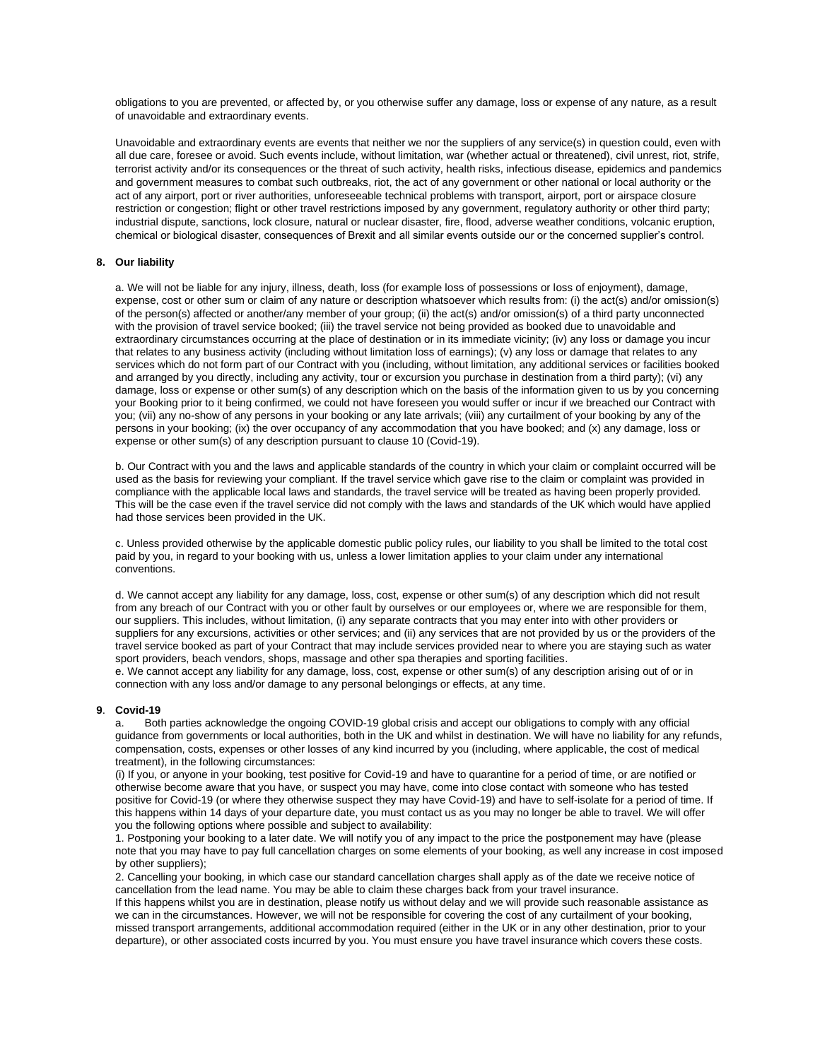obligations to you are prevented, or affected by, or you otherwise suffer any damage, loss or expense of any nature, as a result of unavoidable and extraordinary events.

Unavoidable and extraordinary events are events that neither we nor the suppliers of any service(s) in question could, even with all due care, foresee or avoid. Such events include, without limitation, war (whether actual or threatened), civil unrest, riot, strife, terrorist activity and/or its consequences or the threat of such activity, health risks, infectious disease, epidemics and pandemics and government measures to combat such outbreaks, riot, the act of any government or other national or local authority or the act of any airport, port or river authorities, unforeseeable technical problems with transport, airport, port or airspace closure restriction or congestion; flight or other travel restrictions imposed by any government, regulatory authority or other third party; industrial dispute, sanctions, lock closure, natural or nuclear disaster, fire, flood, adverse weather conditions, volcanic eruption, chemical or biological disaster, consequences of Brexit and all similar events outside our or the concerned supplier's control.

# **8. Our liability**

a. We will not be liable for any injury, illness, death, loss (for example loss of possessions or loss of enjoyment), damage, expense, cost or other sum or claim of any nature or description whatsoever which results from: (i) the act(s) and/or omission(s) of the person(s) affected or another/any member of your group; (ii) the act(s) and/or omission(s) of a third party unconnected with the provision of travel service booked; (iii) the travel service not being provided as booked due to unavoidable and extraordinary circumstances occurring at the place of destination or in its immediate vicinity; (iv) any loss or damage you incur that relates to any business activity (including without limitation loss of earnings); (v) any loss or damage that relates to any services which do not form part of our Contract with you (including, without limitation, any additional services or facilities booked and arranged by you directly, including any activity, tour or excursion you purchase in destination from a third party); (vi) any damage, loss or expense or other sum(s) of any description which on the basis of the information given to us by you concerning your Booking prior to it being confirmed, we could not have foreseen you would suffer or incur if we breached our Contract with you; (vii) any no-show of any persons in your booking or any late arrivals; (viii) any curtailment of your booking by any of the persons in your booking; (ix) the over occupancy of any accommodation that you have booked; and (x) any damage, loss or expense or other sum(s) of any description pursuant to clause 10 (Covid-19).

b. Our Contract with you and the laws and applicable standards of the country in which your claim or complaint occurred will be used as the basis for reviewing your compliant. If the travel service which gave rise to the claim or complaint was provided in compliance with the applicable local laws and standards, the travel service will be treated as having been properly provided. This will be the case even if the travel service did not comply with the laws and standards of the UK which would have applied had those services been provided in the UK.

c. Unless provided otherwise by the applicable domestic public policy rules, our liability to you shall be limited to the total cost paid by you, in regard to your booking with us, unless a lower limitation applies to your claim under any international conventions.

d. We cannot accept any liability for any damage, loss, cost, expense or other sum(s) of any description which did not result from any breach of our Contract with you or other fault by ourselves or our employees or, where we are responsible for them, our suppliers. This includes, without limitation, (i) any separate contracts that you may enter into with other providers or suppliers for any excursions, activities or other services; and (ii) any services that are not provided by us or the providers of the travel service booked as part of your Contract that may include services provided near to where you are staying such as water sport providers, beach vendors, shops, massage and other spa therapies and sporting facilities.

e. We cannot accept any liability for any damage, loss, cost, expense or other sum(s) of any description arising out of or in connection with any loss and/or damage to any personal belongings or effects, at any time.

### **9**. **Covid-19**

a. Both parties acknowledge the ongoing COVID-19 global crisis and accept our obligations to comply with any official guidance from governments or local authorities, both in the UK and whilst in destination. We will have no liability for any refunds, compensation, costs, expenses or other losses of any kind incurred by you (including, where applicable, the cost of medical treatment), in the following circumstances:

(i) If you, or anyone in your booking, test positive for Covid-19 and have to quarantine for a period of time, or are notified or otherwise become aware that you have, or suspect you may have, come into close contact with someone who has tested positive for Covid-19 (or where they otherwise suspect they may have Covid-19) and have to self-isolate for a period of time. If this happens within 14 days of your departure date, you must contact us as you may no longer be able to travel. We will offer you the following options where possible and subject to availability:

1. Postponing your booking to a later date. We will notify you of any impact to the price the postponement may have (please note that you may have to pay full cancellation charges on some elements of your booking, as well any increase in cost imposed by other suppliers);

2. Cancelling your booking, in which case our standard cancellation charges shall apply as of the date we receive notice of cancellation from the lead name. You may be able to claim these charges back from your travel insurance.

If this happens whilst you are in destination, please notify us without delay and we will provide such reasonable assistance as we can in the circumstances. However, we will not be responsible for covering the cost of any curtailment of your booking, missed transport arrangements, additional accommodation required (either in the UK or in any other destination, prior to your departure), or other associated costs incurred by you. You must ensure you have travel insurance which covers these costs.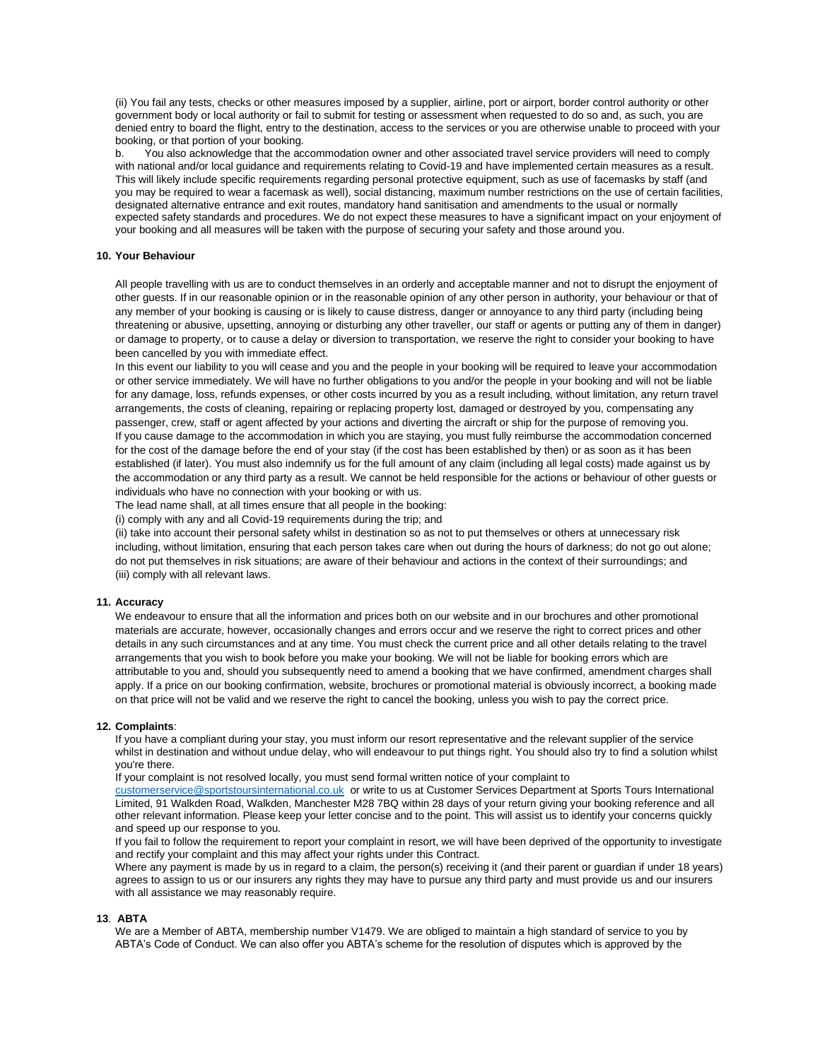(ii) You fail any tests, checks or other measures imposed by a supplier, airline, port or airport, border control authority or other government body or local authority or fail to submit for testing or assessment when requested to do so and, as such, you are denied entry to board the flight, entry to the destination, access to the services or you are otherwise unable to proceed with your booking, or that portion of your booking.

b. You also acknowledge that the accommodation owner and other associated travel service providers will need to comply with national and/or local guidance and requirements relating to Covid-19 and have implemented certain measures as a result. This will likely include specific requirements regarding personal protective equipment, such as use of facemasks by staff (and you may be required to wear a facemask as well), social distancing, maximum number restrictions on the use of certain facilities, designated alternative entrance and exit routes, mandatory hand sanitisation and amendments to the usual or normally expected safety standards and procedures. We do not expect these measures to have a significant impact on your enjoyment of your booking and all measures will be taken with the purpose of securing your safety and those around you.

# **10. Your Behaviour**

All people travelling with us are to conduct themselves in an orderly and acceptable manner and not to disrupt the enjoyment of other guests. If in our reasonable opinion or in the reasonable opinion of any other person in authority, your behaviour or that of any member of your booking is causing or is likely to cause distress, danger or annoyance to any third party (including being threatening or abusive, upsetting, annoying or disturbing any other traveller, our staff or agents or putting any of them in danger) or damage to property, or to cause a delay or diversion to transportation, we reserve the right to consider your booking to have been cancelled by you with immediate effect.

In this event our liability to you will cease and you and the people in your booking will be required to leave your accommodation or other service immediately. We will have no further obligations to you and/or the people in your booking and will not be liable for any damage, loss, refunds expenses, or other costs incurred by you as a result including, without limitation, any return travel arrangements, the costs of cleaning, repairing or replacing property lost, damaged or destroyed by you, compensating any passenger, crew, staff or agent affected by your actions and diverting the aircraft or ship for the purpose of removing you. If you cause damage to the accommodation in which you are staying, you must fully reimburse the accommodation concerned for the cost of the damage before the end of your stay (if the cost has been established by then) or as soon as it has been established (if later). You must also indemnify us for the full amount of any claim (including all legal costs) made against us by the accommodation or any third party as a result. We cannot be held responsible for the actions or behaviour of other guests or individuals who have no connection with your booking or with us.

The lead name shall, at all times ensure that all people in the booking:

(i) comply with any and all Covid-19 requirements during the trip; and

(ii) take into account their personal safety whilst in destination so as not to put themselves or others at unnecessary risk including, without limitation, ensuring that each person takes care when out during the hours of darkness; do not go out alone; do not put themselves in risk situations; are aware of their behaviour and actions in the context of their surroundings; and (iii) comply with all relevant laws.

### **11. Accuracy**

We endeavour to ensure that all the information and prices both on our website and in our brochures and other promotional materials are accurate, however, occasionally changes and errors occur and we reserve the right to correct prices and other details in any such circumstances and at any time. You must check the current price and all other details relating to the travel arrangements that you wish to book before you make your booking. We will not be liable for booking errors which are attributable to you and, should you subsequently need to amend a booking that we have confirmed, amendment charges shall apply. If a price on our booking confirmation, website, brochures or promotional material is obviously incorrect, a booking made on that price will not be valid and we reserve the right to cancel the booking, unless you wish to pay the correct price.

#### **12. Complaints**:

If you have a compliant during your stay, you must inform our resort representative and the relevant supplier of the service whilst in destination and without undue delay, who will endeavour to put things right. You should also try to find a solution whilst you're there.

If your complaint is not resolved locally, you must send formal written notice of your complaint to

[customerservice@sportstoursinternational.co.uk](mailto:customerservice@sportstoursinternational.co.uk) or write to us at Customer Services Department at Sports Tours International Limited, 91 Walkden Road, Walkden, Manchester M28 7BQ within 28 days of your return giving your booking reference and all other relevant information. Please keep your letter concise and to the point. This will assist us to identify your concerns quickly and speed up our response to you.

If you fail to follow the requirement to report your complaint in resort, we will have been deprived of the opportunity to investigate and rectify your complaint and this may affect your rights under this Contract.

Where any payment is made by us in regard to a claim, the person(s) receiving it (and their parent or guardian if under 18 years) agrees to assign to us or our insurers any rights they may have to pursue any third party and must provide us and our insurers with all assistance we may reasonably require.

### **13**. **ABTA**

We are a Member of ABTA, membership number V1479. We are obliged to maintain a high standard of service to you by ABTA's Code of Conduct. We can also offer you ABTA's scheme for the resolution of disputes which is approved by the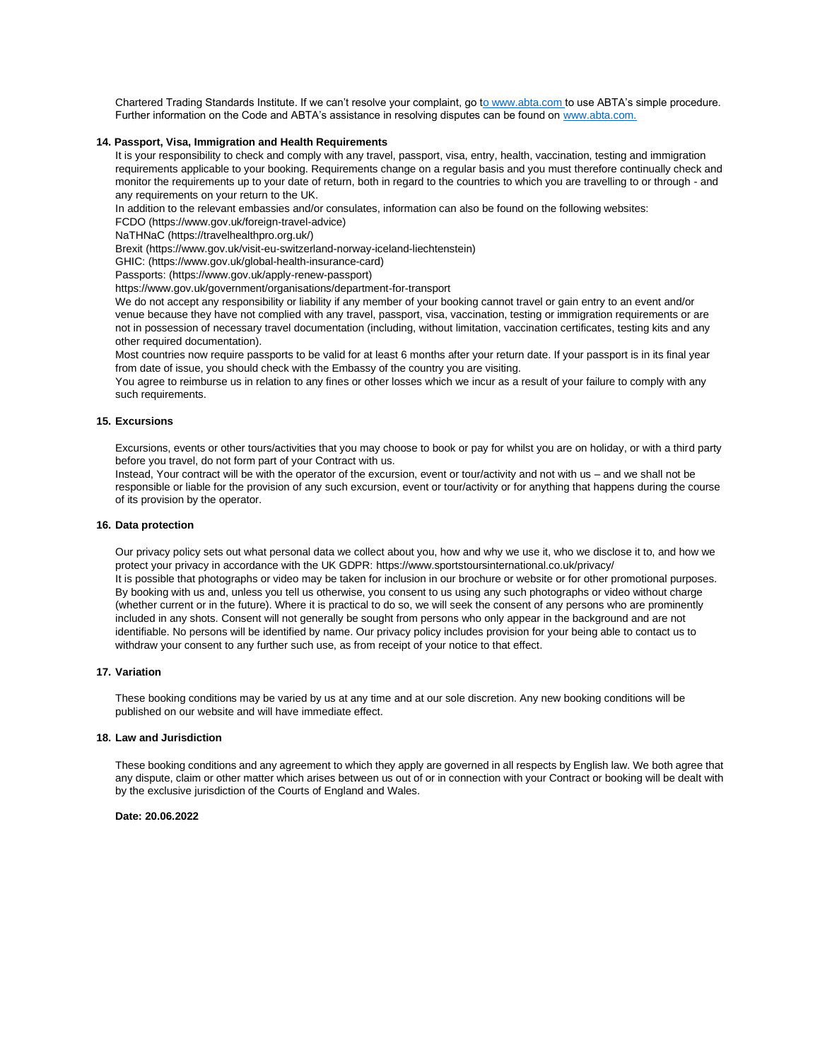Chartered Trading Standards Institute. If we can't resolve your complaint, go [to www.abta.com](http://www.abta.com/) to use ABTA's simple procedure. Further information on the Code and ABTA's assistance in resolving disputes can be found o[n www.abta.com.](http://www.abta.com/)

### **14. Passport, Visa, Immigration and Health Requirements**

It is your responsibility to check and comply with any travel, passport, visa, entry, health, vaccination, testing and immigration requirements applicable to your booking. Requirements change on a regular basis and you must therefore continually check and monitor the requirements up to your date of return, both in regard to the countries to which you are travelling to or through - and any requirements on your return to the UK.

In addition to the relevant embassies and/or consulates, information can also be found on the following websites:

FCDO (https://www.gov.uk/foreign-travel-advice)

NaTHNaC (https://travelhealthpro.org.uk/)

Brexit (https://www.gov.uk/visit-eu-switzerland-norway-iceland-liechtenstein)

GHIC: (https://www.gov.uk/global-health-insurance-card)

Passports: (https://www.gov.uk/apply-renew-passport)

https://www.gov.uk/government/organisations/department-for-transport

We do not accept any responsibility or liability if any member of your booking cannot travel or gain entry to an event and/or venue because they have not complied with any travel, passport, visa, vaccination, testing or immigration requirements or are not in possession of necessary travel documentation (including, without limitation, vaccination certificates, testing kits and any other required documentation).

Most countries now require passports to be valid for at least 6 months after your return date. If your passport is in its final year from date of issue, you should check with the Embassy of the country you are visiting.

You agree to reimburse us in relation to any fines or other losses which we incur as a result of your failure to comply with any such requirements.

# **15. Excursions**

Excursions, events or other tours/activities that you may choose to book or pay for whilst you are on holiday, or with a third party before you travel, do not form part of your Contract with us.

Instead, Your contract will be with the operator of the excursion, event or tour/activity and not with us – and we shall not be responsible or liable for the provision of any such excursion, event or tour/activity or for anything that happens during the course of its provision by the operator.

#### **16. Data protection**

Our privacy policy sets out what personal data we collect about you, how and why we use it, who we disclose it to, and how we protect your privacy in accordance with the UK GDPR: https://www.sportstoursinternational.co.uk/privacy/ It is possible that photographs or video may be taken for inclusion in our brochure or website or for other promotional purposes. By booking with us and, unless you tell us otherwise, you consent to us using any such photographs or video without charge (whether current or in the future). Where it is practical to do so, we will seek the consent of any persons who are prominently included in any shots. Consent will not generally be sought from persons who only appear in the background and are not identifiable. No persons will be identified by name. Our privacy policy includes provision for your being able to contact us to withdraw your consent to any further such use, as from receipt of your notice to that effect.

### **17. Variation**

These booking conditions may be varied by us at any time and at our sole discretion. Any new booking conditions will be published on our website and will have immediate effect.

### **18. Law and Jurisdiction**

These booking conditions and any agreement to which they apply are governed in all respects by English law. We both agree that any dispute, claim or other matter which arises between us out of or in connection with your Contract or booking will be dealt with by the exclusive jurisdiction of the Courts of England and Wales.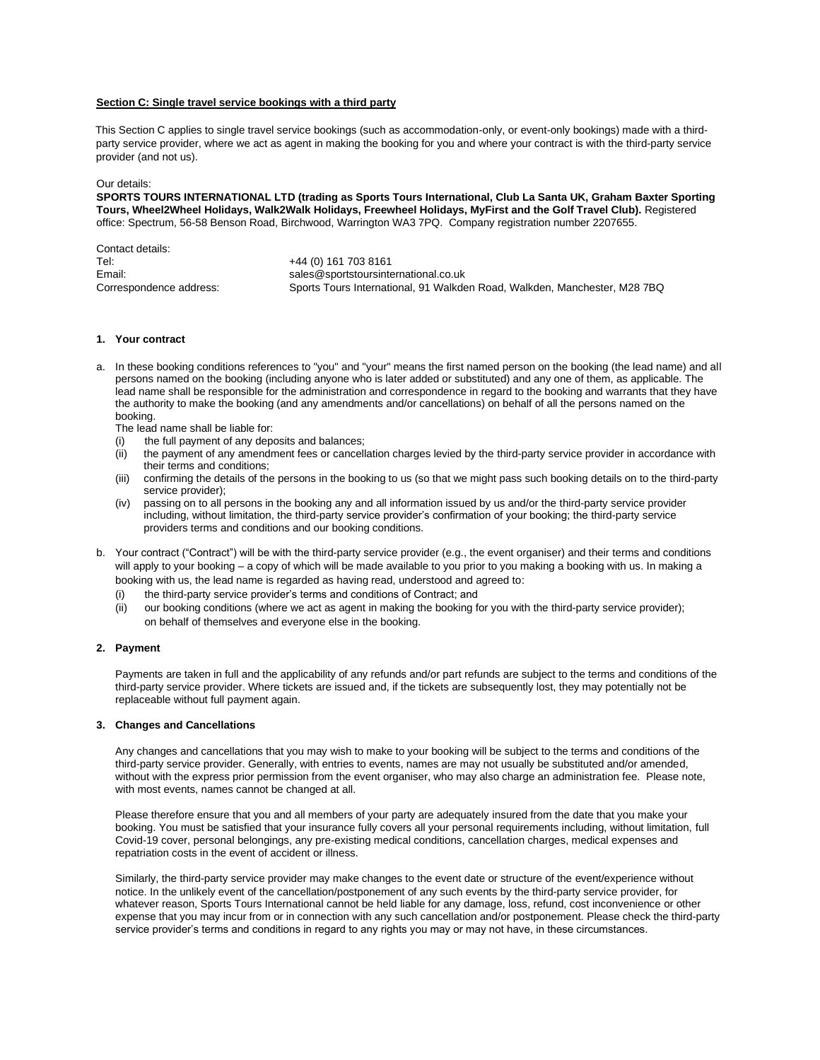### **Section C: Single travel service bookings with a third party**

This Section C applies to single travel service bookings (such as accommodation-only, or event-only bookings) made with a thirdparty service provider, where we act as agent in making the booking for you and where your contract is with the third-party service provider (and not us).

### Our details:

**SPORTS TOURS INTERNATIONAL LTD (trading as Sports Tours International, Club La Santa UK, Graham Baxter Sporting Tours, Wheel2Wheel Holidays, Walk2Walk Holidays, Freewheel Holidays, MyFirst and the Golf Travel Club).** Registered office: Spectrum, 56-58 Benson Road, Birchwood, Warrington WA3 7PQ. Company registration number 2207655.

| Contact details:        |                                                                           |
|-------------------------|---------------------------------------------------------------------------|
| Tel:                    | +44 (0) 161 703 8161                                                      |
| Email:                  | sales@sportstoursinternational.co.uk                                      |
| Correspondence address: | Sports Tours International, 91 Walkden Road, Walkden, Manchester, M28 7BQ |

#### **1. Your contract**

a. In these booking conditions references to "you" and "your" means the first named person on the booking (the lead name) and all persons named on the booking (including anyone who is later added or substituted) and any one of them, as applicable. The lead name shall be responsible for the administration and correspondence in regard to the booking and warrants that they have the authority to make the booking (and any amendments and/or cancellations) on behalf of all the persons named on the booking.

The lead name shall be liable for:

- (i) the full payment of any deposits and balances;
- (ii) the payment of any amendment fees or cancellation charges levied by the third-party service provider in accordance with their terms and conditions;
- (iii) confirming the details of the persons in the booking to us (so that we might pass such booking details on to the third-party service provider);
- (iv) passing on to all persons in the booking any and all information issued by us and/or the third-party service provider including, without limitation, the third-party service provider's confirmation of your booking; the third-party service providers terms and conditions and our booking conditions.
- b. Your contract ("Contract") will be with the third-party service provider (e.g., the event organiser) and their terms and conditions will apply to your booking – a copy of which will be made available to you prior to you making a booking with us. In making a booking with us, the lead name is regarded as having read, understood and agreed to:
	- (i) the third-party service provider's terms and conditions of Contract; and
	- (ii) our booking conditions (where we act as agent in making the booking for you with the third-party service provider); on behalf of themselves and everyone else in the booking.

### **2. Payment**

Payments are taken in full and the applicability of any refunds and/or part refunds are subject to the terms and conditions of the third-party service provider. Where tickets are issued and, if the tickets are subsequently lost, they may potentially not be replaceable without full payment again.

#### **3. Changes and Cancellations**

Any changes and cancellations that you may wish to make to your booking will be subject to the terms and conditions of the third-party service provider. Generally, with entries to events, names are may not usually be substituted and/or amended, without with the express prior permission from the event organiser, who may also charge an administration fee. Please note, with most events, names cannot be changed at all.

Please therefore ensure that you and all members of your party are adequately insured from the date that you make your booking. You must be satisfied that your insurance fully covers all your personal requirements including, without limitation, full Covid-19 cover, personal belongings, any pre-existing medical conditions, cancellation charges, medical expenses and repatriation costs in the event of accident or illness.

Similarly, the third-party service provider may make changes to the event date or structure of the event/experience without notice. In the unlikely event of the cancellation/postponement of any such events by the third-party service provider, for whatever reason, Sports Tours International cannot be held liable for any damage, loss, refund, cost inconvenience or other expense that you may incur from or in connection with any such cancellation and/or postponement. Please check the third-party service provider's terms and conditions in regard to any rights you may or may not have, in these circumstances.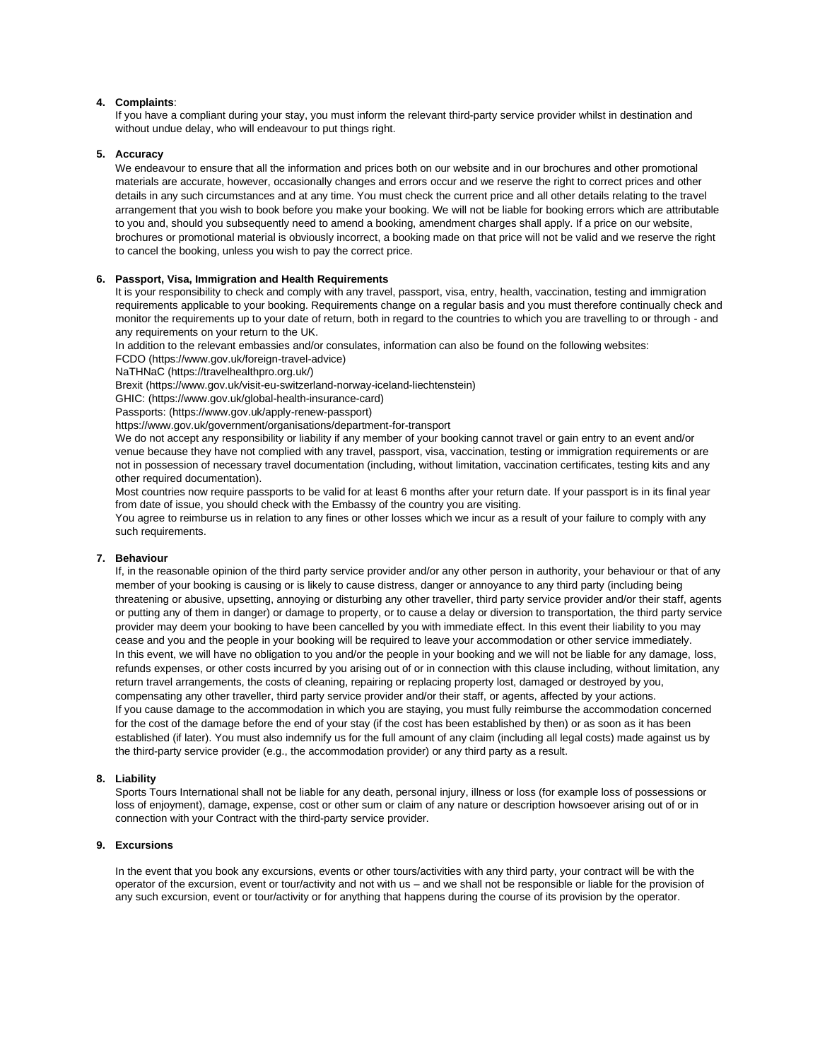# **4. Complaints**:

If you have a compliant during your stay, you must inform the relevant third-party service provider whilst in destination and without undue delay, who will endeavour to put things right.

### **5. Accuracy**

We endeavour to ensure that all the information and prices both on our website and in our brochures and other promotional materials are accurate, however, occasionally changes and errors occur and we reserve the right to correct prices and other details in any such circumstances and at any time. You must check the current price and all other details relating to the travel arrangement that you wish to book before you make your booking. We will not be liable for booking errors which are attributable to you and, should you subsequently need to amend a booking, amendment charges shall apply. If a price on our website, brochures or promotional material is obviously incorrect, a booking made on that price will not be valid and we reserve the right to cancel the booking, unless you wish to pay the correct price.

### **6. Passport, Visa, Immigration and Health Requirements**

It is your responsibility to check and comply with any travel, passport, visa, entry, health, vaccination, testing and immigration requirements applicable to your booking. Requirements change on a regular basis and you must therefore continually check and monitor the requirements up to your date of return, both in regard to the countries to which you are travelling to or through - and any requirements on your return to the UK.

In addition to the relevant embassies and/or consulates, information can also be found on the following websites:

FCDO (https://www.gov.uk/foreign-travel-advice)

NaTHNaC (https://travelhealthpro.org.uk/)

Brexit (https://www.gov.uk/visit-eu-switzerland-norway-iceland-liechtenstein)

GHIC: (https://www.gov.uk/global-health-insurance-card)

Passports: (https://www.gov.uk/apply-renew-passport)

https://www.gov.uk/government/organisations/department-for-transport

We do not accept any responsibility or liability if any member of your booking cannot travel or gain entry to an event and/or venue because they have not complied with any travel, passport, visa, vaccination, testing or immigration requirements or are not in possession of necessary travel documentation (including, without limitation, vaccination certificates, testing kits and any other required documentation).

Most countries now require passports to be valid for at least 6 months after your return date. If your passport is in its final year from date of issue, you should check with the Embassy of the country you are visiting.

You agree to reimburse us in relation to any fines or other losses which we incur as a result of your failure to comply with any such requirements.

# **7. Behaviour**

If, in the reasonable opinion of the third party service provider and/or any other person in authority, your behaviour or that of any member of your booking is causing or is likely to cause distress, danger or annoyance to any third party (including being threatening or abusive, upsetting, annoying or disturbing any other traveller, third party service provider and/or their staff, agents or putting any of them in danger) or damage to property, or to cause a delay or diversion to transportation, the third party service provider may deem your booking to have been cancelled by you with immediate effect. In this event their liability to you may cease and you and the people in your booking will be required to leave your accommodation or other service immediately. In this event, we will have no obligation to you and/or the people in your booking and we will not be liable for any damage, loss, refunds expenses, or other costs incurred by you arising out of or in connection with this clause including, without limitation, any return travel arrangements, the costs of cleaning, repairing or replacing property lost, damaged or destroyed by you, compensating any other traveller, third party service provider and/or their staff, or agents, affected by your actions. If you cause damage to the accommodation in which you are staying, you must fully reimburse the accommodation concerned for the cost of the damage before the end of your stay (if the cost has been established by then) or as soon as it has been established (if later). You must also indemnify us for the full amount of any claim (including all legal costs) made against us by the third-party service provider (e.g., the accommodation provider) or any third party as a result.

### **8. Liability**

Sports Tours International shall not be liable for any death, personal injury, illness or loss (for example loss of possessions or loss of enjoyment), damage, expense, cost or other sum or claim of any nature or description howsoever arising out of or in connection with your Contract with the third-party service provider.

### **9. Excursions**

In the event that you book any excursions, events or other tours/activities with any third party, your contract will be with the operator of the excursion, event or tour/activity and not with us – and we shall not be responsible or liable for the provision of any such excursion, event or tour/activity or for anything that happens during the course of its provision by the operator.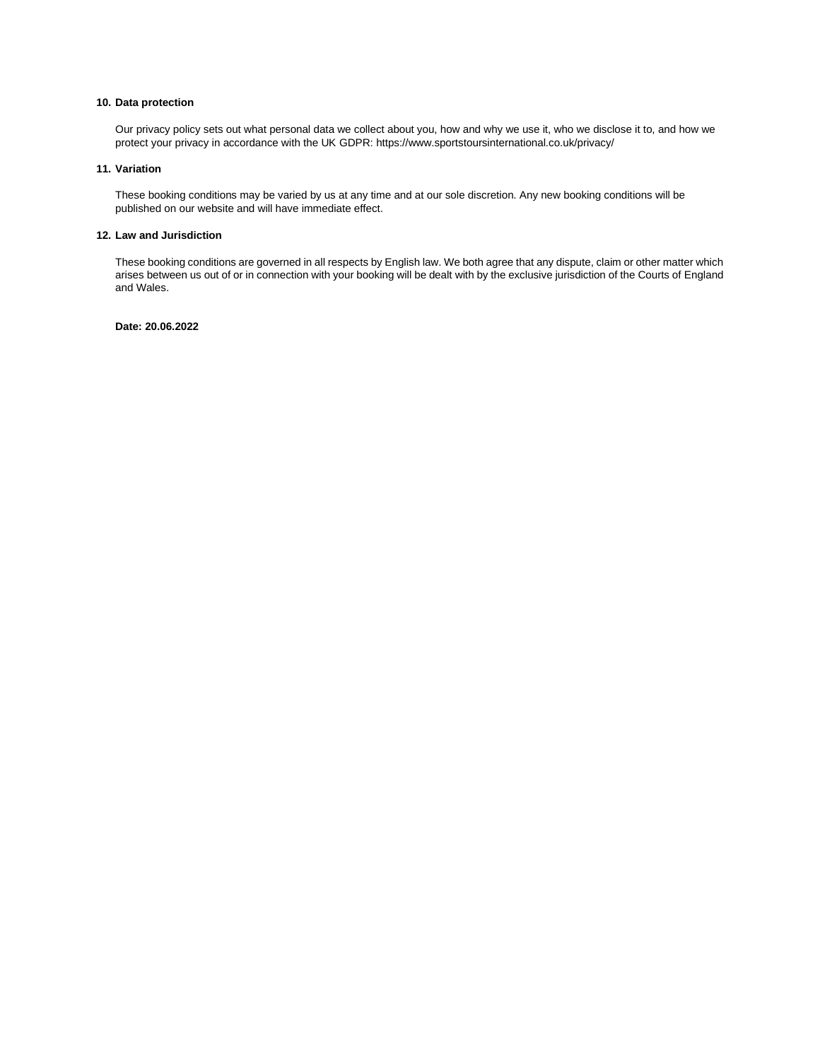### **10. Data protection**

Our privacy policy sets out what personal data we collect about you, how and why we use it, who we disclose it to, and how we protect your privacy in accordance with the UK GDPR: https://www.sportstoursinternational.co.uk/privacy/

# **11. Variation**

These booking conditions may be varied by us at any time and at our sole discretion. Any new booking conditions will be published on our website and will have immediate effect.

# **12. Law and Jurisdiction**

These booking conditions are governed in all respects by English law. We both agree that any dispute, claim or other matter which arises between us out of or in connection with your booking will be dealt with by the exclusive jurisdiction of the Courts of England and Wales.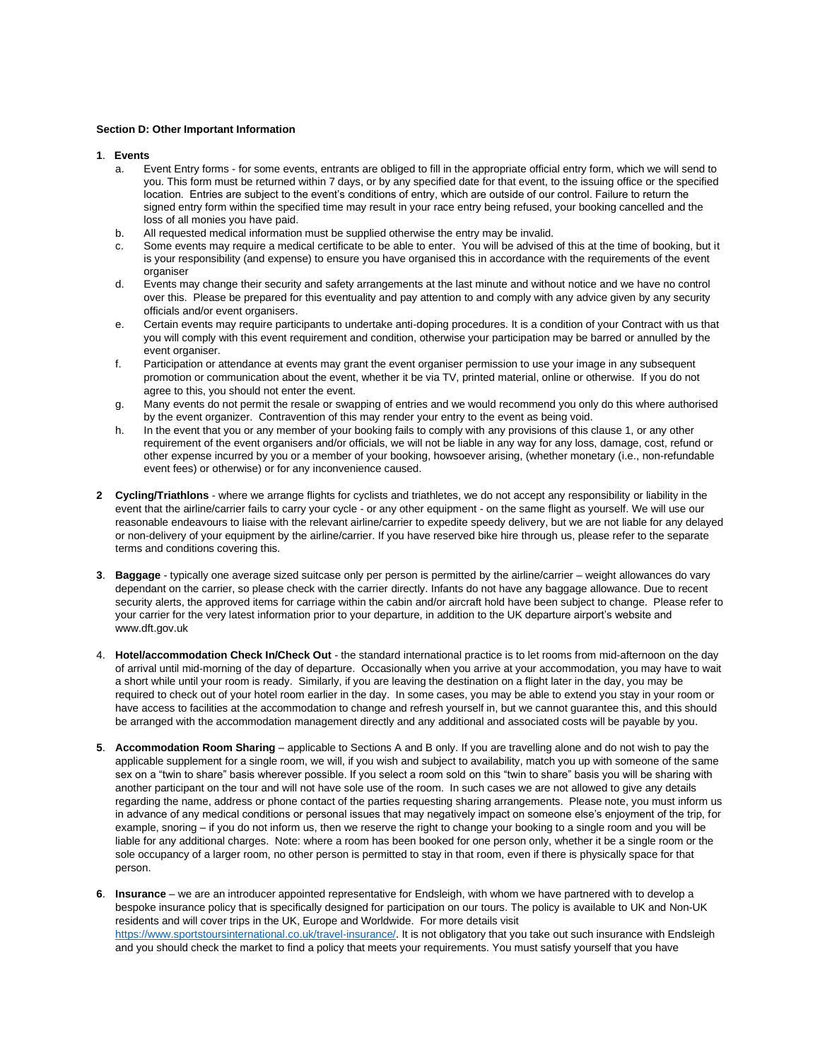### **Section D: Other Important Information**

- **1**. **Events**
	- a. Event Entry forms for some events, entrants are obliged to fill in the appropriate official entry form, which we will send to you. This form must be returned within 7 days, or by any specified date for that event, to the issuing office or the specified location. Entries are subject to the event's conditions of entry, which are outside of our control. Failure to return the signed entry form within the specified time may result in your race entry being refused, your booking cancelled and the loss of all monies you have paid.
	- b. All requested medical information must be supplied otherwise the entry may be invalid.
	- c. Some events may require a medical certificate to be able to enter. You will be advised of this at the time of booking, but it is your responsibility (and expense) to ensure you have organised this in accordance with the requirements of the event organiser
	- d. Events may change their security and safety arrangements at the last minute and without notice and we have no control over this. Please be prepared for this eventuality and pay attention to and comply with any advice given by any security officials and/or event organisers.
	- e. Certain events may require participants to undertake anti-doping procedures. It is a condition of your Contract with us that you will comply with this event requirement and condition, otherwise your participation may be barred or annulled by the event organiser.
	- f. Participation or attendance at events may grant the event organiser permission to use your image in any subsequent promotion or communication about the event, whether it be via TV, printed material, online or otherwise. If you do not agree to this, you should not enter the event.
	- g. Many events do not permit the resale or swapping of entries and we would recommend you only do this where authorised by the event organizer. Contravention of this may render your entry to the event as being void.
	- h. In the event that you or any member of your booking fails to comply with any provisions of this clause 1, or any other requirement of the event organisers and/or officials, we will not be liable in any way for any loss, damage, cost, refund or other expense incurred by you or a member of your booking, howsoever arising, (whether monetary (i.e., non-refundable event fees) or otherwise) or for any inconvenience caused.
- **2 Cycling/Triathlons** where we arrange flights for cyclists and triathletes, we do not accept any responsibility or liability in the event that the airline/carrier fails to carry your cycle - or any other equipment - on the same flight as yourself. We will use our reasonable endeavours to liaise with the relevant airline/carrier to expedite speedy delivery, but we are not liable for any delayed or non-delivery of your equipment by the airline/carrier. If you have reserved bike hire through us, please refer to the separate terms and conditions covering this.
- **3**. **Baggage** typically one average sized suitcase only per person is permitted by the airline/carrier weight allowances do vary dependant on the carrier, so please check with the carrier directly. Infants do not have any baggage allowance. Due to recent security alerts, the approved items for carriage within the cabin and/or aircraft hold have been subject to change. Please refer to your carrier for the very latest information prior to your departure, in addition to the UK departure airport's website and www.dft.gov.uk
- 4. **Hotel/accommodation Check In/Check Out** the standard international practice is to let rooms from mid-afternoon on the day of arrival until mid-morning of the day of departure. Occasionally when you arrive at your accommodation, you may have to wait a short while until your room is ready. Similarly, if you are leaving the destination on a flight later in the day, you may be required to check out of your hotel room earlier in the day. In some cases, you may be able to extend you stay in your room or have access to facilities at the accommodation to change and refresh yourself in, but we cannot guarantee this, and this should be arranged with the accommodation management directly and any additional and associated costs will be payable by you.
- **5**. **Accommodation Room Sharing** applicable to Sections A and B only. If you are travelling alone and do not wish to pay the applicable supplement for a single room, we will, if you wish and subject to availability, match you up with someone of the same sex on a "twin to share" basis wherever possible. If you select a room sold on this "twin to share" basis you will be sharing with another participant on the tour and will not have sole use of the room. In such cases we are not allowed to give any details regarding the name, address or phone contact of the parties requesting sharing arrangements. Please note, you must inform us in advance of any medical conditions or personal issues that may negatively impact on someone else's enjoyment of the trip, for example, snoring – if you do not inform us, then we reserve the right to change your booking to a single room and you will be liable for any additional charges. Note: where a room has been booked for one person only, whether it be a single room or the sole occupancy of a larger room, no other person is permitted to stay in that room, even if there is physically space for that person.
- **6**. **Insurance** we are an introducer appointed representative for Endsleigh, with whom we have partnered with to develop a bespoke insurance policy that is specifically designed for participation on our tours. The policy is available to UK and Non-UK residents and will cover trips in the UK, Europe and Worldwide. For more details visit [https://www.sportstoursinternational.co.uk/travel-insurance/.](https://www.sportstoursinternational.co.uk/travel-insurance/) It is not obligatory that you take out such insurance with Endsleigh and you should check the market to find a policy that meets your requirements. You must satisfy yourself that you have